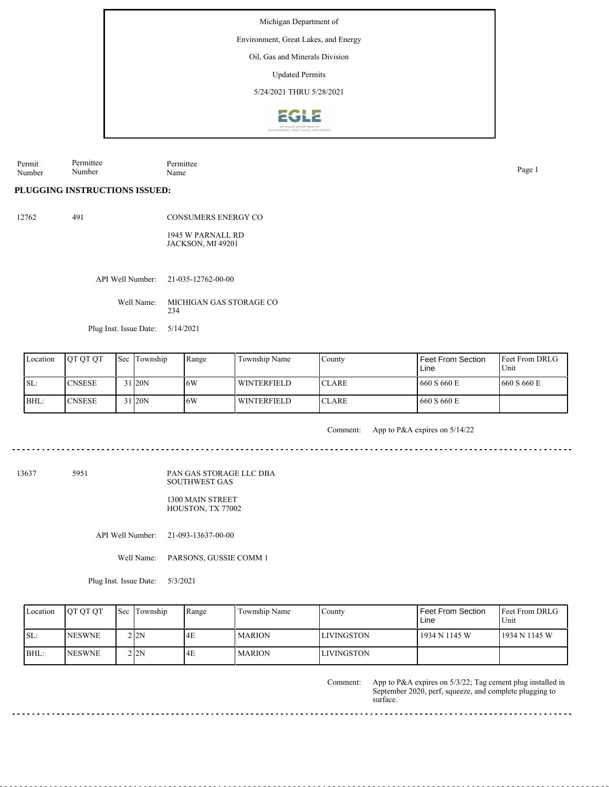Environment, Great Lakes, and Energy

Oil, Gas and Minerals Division

Updated Permits

5/24/2021 THRU 5/28/2021



Permittee Permittee

Permit Number

Name Page 1

#### **PLUGGING INSTRUCTIONS ISSUED:**

Number

| 12762 | 491 | <b>CONSUMERS ENERGY CO</b>                                                                       |
|-------|-----|--------------------------------------------------------------------------------------------------|
|       |     | $1017$ $\overline{N}$ $\overline{N}$ $\overline{N}$ $\overline{N}$ $\overline{N}$ $\overline{N}$ |

1945 W PARNALL RD JACKSON, MI 49201

API Well Number: 21-035-12762-00-00

Well Name: MICHIGAN GAS STORAGE CO 234

Plug Inst. Issue Date: 5/14/2021

| Location | <b>OT OT OT</b> | <b>Sec</b> Township | Range | Township Name      | County        | <b>Feet From Section</b><br>Line | <b>Feet From DRLG</b><br>Unit |
|----------|-----------------|---------------------|-------|--------------------|---------------|----------------------------------|-------------------------------|
| ISL:     | <b>CNSESE</b>   | 31 20N              | 16W   | <b>WINTERFIELD</b> | <b>ICLARE</b> | 660 S 660 E                      | 660 S 660 E                   |
| BHL:     | <b>CNSESE</b>   | 31 20N              | 16W   | WINTERFIELD        | <b>ICLARE</b> | 660 S 660 E                      |                               |

Comment: App to P&A expires on 5/14/22

13637 5951

PAN GAS STORAGE LLC DBA SOUTHWEST GAS

1300 MAIN STREET HOUSTON, TX 77002

API Well Number: 21-093-13637-00-00

Well Name: PARSONS, GUSSIE COMM 1

Plug Inst. Issue Date: 5/3/2021

| Location | <b>OT OT OT</b> | Sec Township | Range | Township Name | County            | Feet From Section<br>Line | <b>IFeet From DRLG</b><br>Unit |
|----------|-----------------|--------------|-------|---------------|-------------------|---------------------------|--------------------------------|
| SL:      | <b>NESWNE</b>   | 2 2N         | l4E   | <b>MARION</b> | <b>LIVINGSTON</b> | 1934 N 1145 W             | 1934 N 1145 W                  |
| $ BHL$ : | <b>NESWNE</b>   | 212N         | 14E   | <b>MARION</b> | <b>LIVINGSTON</b> |                           |                                |

App to P&A expires on 5/3/22; Tag cement plug installed in September 2020, perf, squeeze, and complete plugging to surface. Comment: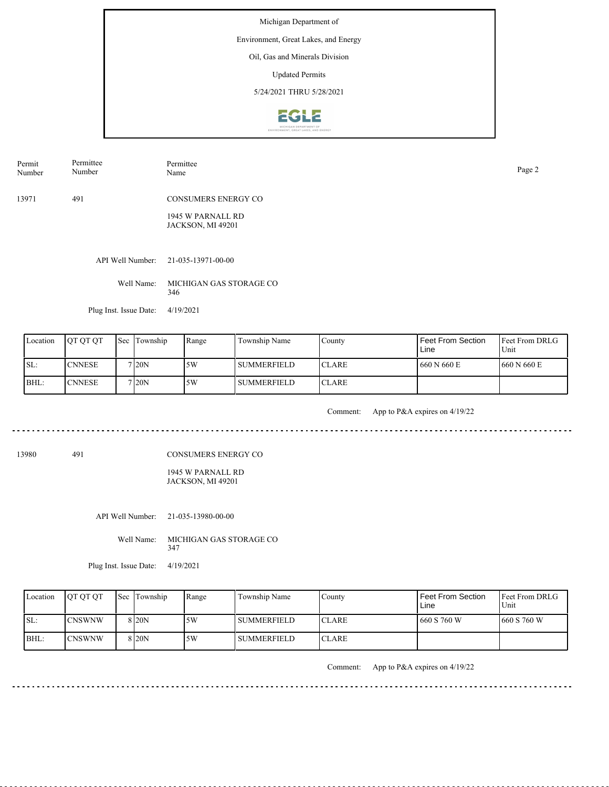Environment, Great Lakes, and Energy

## Oil, Gas and Minerals Division

Updated Permits

5/24/2021 THRU 5/28/2021



13971 491 CONSUMERS ENERGY CO Permit Number Permittee Number Permittee Name Page 2

> 1945 W PARNALL RD JACKSON, MI 49201

API Well Number: 21-035-13971-00-00

Well Name: MICHIGAN GAS STORAGE CO 346

Plug Inst. Issue Date: 4/19/2021

| Location | <b>OT OT OT</b> | <b>Sec</b> | Township | Range | Township Name      | County        | Feet From Section<br>Line | <b>Feet From DRLG</b><br>Unit |
|----------|-----------------|------------|----------|-------|--------------------|---------------|---------------------------|-------------------------------|
| ISL:     | <b>ICNNESE</b>  |            | 7120N    | 5W    | l summerfield.     | <b>ICLARE</b> | 660 N 660 E               | 1660 N 660 E                  |
| BHL:     | <b>CNNESE</b>   |            | 7 20N    | 5W    | <b>SUMMERFIELD</b> | <b>ICLARE</b> |                           |                               |

<u>. . . . . . . . . . . . . . . .</u>

Comment: App to P&A expires on 4/19/22 

13980 491

CONSUMERS ENERGY CO

1945 W PARNALL RD JACKSON, MI 49201

API Well Number: 21-035-13980-00-00

Well Name: MICHIGAN GAS STORAGE CO 347

Plug Inst. Issue Date: 4/19/2021

| Location | <b>IOT OT OT</b> | <b>Sec</b> Township | Range | Township Name  | County        | <b>Feet From Section</b><br>Line | <b>Feet From DRLG</b><br>Unit |
|----------|------------------|---------------------|-------|----------------|---------------|----------------------------------|-------------------------------|
| ISL:     | <b>ICNSWNW</b>   | 8 I20N              | 5W    | l summerfield. | <b>ICLARE</b> | 1660 S 760 W                     | 1660 S 760 W                  |
| BHL:     | <b>ICNSWNW</b>   | 8 I20N              | 5W    | l summerfield  | <b>ICLARE</b> |                                  |                               |

Comment: App to P&A expires on 4/19/22

 $- - - - - -$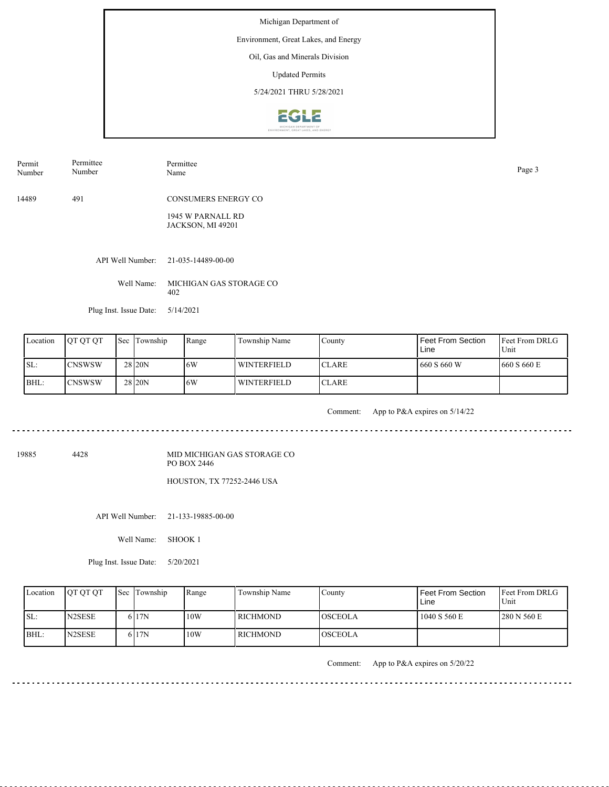Environment, Great Lakes, and Energy

## Oil, Gas and Minerals Division

Updated Permits

5/24/2021 THRU 5/28/2021



14489 491 CONSUMERS ENERGY CO Permit Number Permittee Number Permittee Name Page 3

> 1945 W PARNALL RD JACKSON, MI 49201

API Well Number: 21-035-14489-00-00

Well Name: MICHIGAN GAS STORAGE CO 402

Plug Inst. Issue Date: 5/14/2021

| Location | <b>IOT OT OT</b> | <b>Sec</b> | Township          | Range | Township Name      | County        | Feet From Section<br>Line | <b>IFeet From DRLG</b><br>Unit |
|----------|------------------|------------|-------------------|-------|--------------------|---------------|---------------------------|--------------------------------|
| SL:      | <b>ICNSWSW</b>   |            | 28 20N            | 16W   | <b>WINTERFIELD</b> | <b>ICLARE</b> | 660 S 660 W               | 1660 S 660 E                   |
| BHL:     | <b>ICNSWSW</b>   |            | 28 <sub>20N</sub> | 16W   | <b>WINTERFIELD</b> | <b>ICLARE</b> |                           |                                |

. . . . . . . . . . . . . . . . . . .

Comment: App to P&A expires on 5/14/22

<u>. . . . . . . . . . . . . . . . .</u>

<u>. . . . . . . . .</u>

19885 4428

MID MICHIGAN GAS STORAGE CO PO BOX 2446

HOUSTON, TX 77252-2446 USA

API Well Number: 21-133-19885-00-00

Well Name: SHOOK 1

Plug Inst. Issue Date: 5/20/2021

| Location | <b>IOT OT OT</b>    | <b>Sec Township</b> | Range | Township Name | Countv          | <b>Feet From Section</b><br>Line | <b>IFeet From DRLG</b><br>Unit |
|----------|---------------------|---------------------|-------|---------------|-----------------|----------------------------------|--------------------------------|
| SL:      | N <sub>2</sub> SESE | 6 <sub>17N</sub>    | 10W   | l richmond-   | <b>IOSCEOLA</b> | 1040 S 560 E                     | 280 N 560 E                    |
| $BHL$ :  | N <sub>2</sub> SESE | 6 I 7N              | 10W   | l RICHMOND    | <b>OSCEOLA</b>  |                                  |                                |

Comment: App to P&A expires on 5/20/22

. . . . . . . . . . . . . . . . . . . .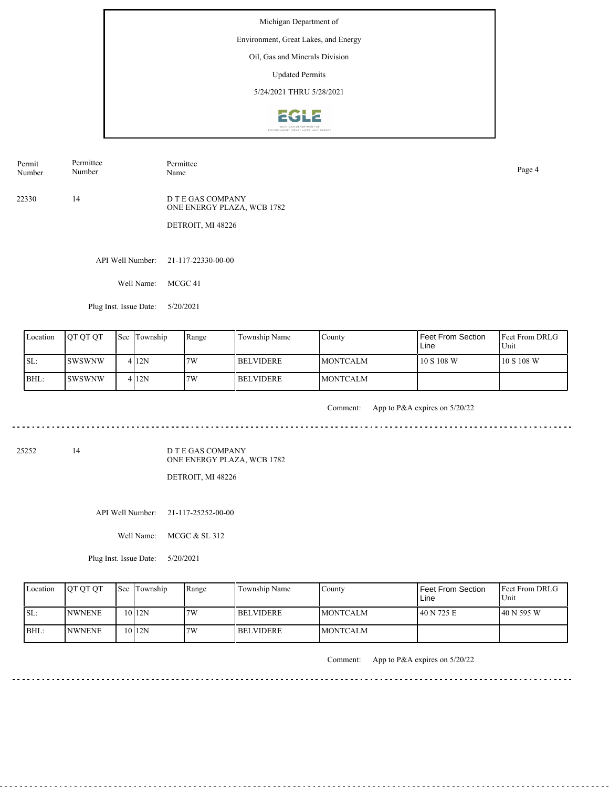Environment, Great Lakes, and Energy

# Oil, Gas and Minerals Division

Updated Permits

5/24/2021 THRU 5/28/2021



Permit Number

Permittee Number

Permittee Name Page 4

22330 14

D T E GAS COMPANY ONE ENERGY PLAZA, WCB 1782

DETROIT, MI 48226

API Well Number: 21-117-22330-00-00

Well Name: MCGC 41

Plug Inst. Issue Date: 5/20/2021

| Location | <b>IOT OT OT</b> | <b>Sec Township</b> | Range | Township Name    | Countv           | Feet From Section<br>Line | <b>IFeet From DRLG</b><br>Unit |
|----------|------------------|---------------------|-------|------------------|------------------|---------------------------|--------------------------------|
| ISL:     | ISWSWNW          | 412N                | 7W    | <b>BELVIDERE</b> | <b>IMONTCALM</b> | 10 S 108 W                | 10 S 108 W                     |
| BHL:     | ISWSWNW          | 412N                | 7W    | I BELVIDERE      | <b>IMONTCALM</b> |                           |                                |

<u>. . . . . . . . . .</u>

Comment: App to P&A expires on 5/20/22

25252 14

D T E GAS COMPANY ONE ENERGY PLAZA, WCB 1782

DETROIT, MI 48226

API Well Number: 21-117-25252-00-00

Well Name: MCGC & SL 312

Plug Inst. Issue Date: 5/20/2021

| Location | <b>OT OT OT</b> | <b>Sec</b> Township | Range | Township Name    | County           | Feet From Section<br>Line | <b>Feet From DRLG</b><br>Unit |
|----------|-----------------|---------------------|-------|------------------|------------------|---------------------------|-------------------------------|
| ISL:     | <b>INWNENE</b>  | 10 <sub>12N</sub>   | 7W    | <b>BELVIDERE</b> | <b>IMONTCALM</b> | 40 N 725 E                | 40 N 595 W                    |
| BHL:     | <b>INWNENE</b>  | 1012N               | 7W    | <b>BELVIDERE</b> | <b>IMONTCALM</b> |                           |                               |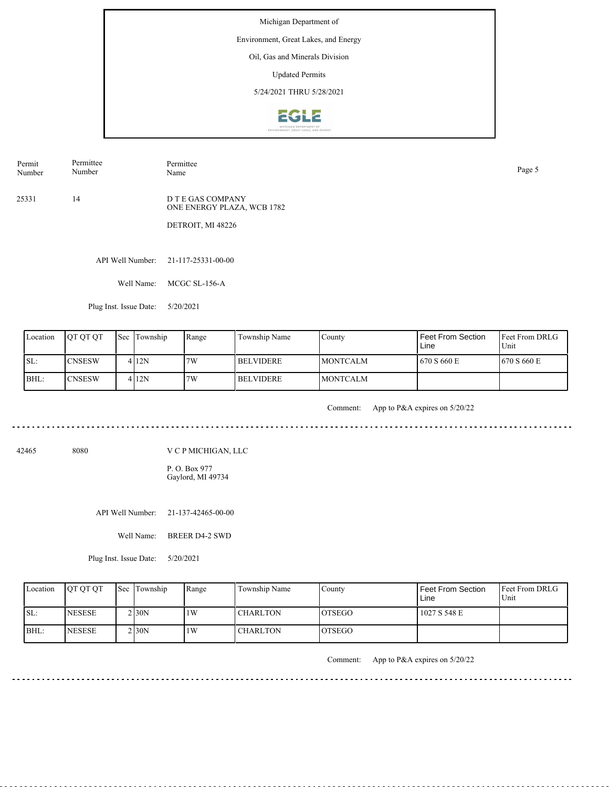Environment, Great Lakes, and Energy

# Oil, Gas and Minerals Division

Updated Permits

5/24/2021 THRU 5/28/2021



Permit Number Permittee Name Page 5

25331 14 D T E GAS COMPANY ONE ENERGY PLAZA, WCB 1782

Permittee Number

DETROIT, MI 48226

API Well Number: 21-117-25331-00-00

Well Name: MCGC SL-156-A

Plug Inst. Issue Date: 5/20/2021

| Location | <b>IOT OT OT</b> | <b>Sec</b> Township | Range | Township Name    | County           | Feet From Section<br>Line | Feet From DRLG<br>Unit |
|----------|------------------|---------------------|-------|------------------|------------------|---------------------------|------------------------|
| ISL:     | <b>ICNSESW</b>   | 412N                | 7W    | <b>BELVIDERE</b> | <b>IMONTCALM</b> | 670 S 660 E               | 1670 S 660 E           |
| IBHL:    | <b>ICNSESW</b>   | 412N                | 7W    | <b>BELVIDERE</b> | <b>IMONTCALM</b> |                           |                        |

. . . . . . . . . . . . . .

Comment: App to P&A expires on 5/20/22

. . . . . . . . . . . . . . . . . . . .

42465 8080

V C P MICHIGAN, LLC

P. O. Box 977 Gaylord, MI 49734

API Well Number: 21-137-42465-00-00

Well Name: BREER D4-2 SWD

Plug Inst. Issue Date: 5/20/2021

| Location | <b>OT OT OT</b> | <b>Sec Township</b> | Range | Township Name   | Countv  | l Feet From Section<br>Line | <b>Feet From DRLG</b><br>Unit |
|----------|-----------------|---------------------|-------|-----------------|---------|-----------------------------|-------------------------------|
| ISL:     | <b>INESESE</b>  | $2$ <sub>30</sub> N | 1W    | <b>CHARLTON</b> | IOTSEGO | 1027 S 548 E                |                               |
| BHL:     | <b>INESESE</b>  | 2130N               | 1W    | <b>CHARLTON</b> | IOTSEGO |                             |                               |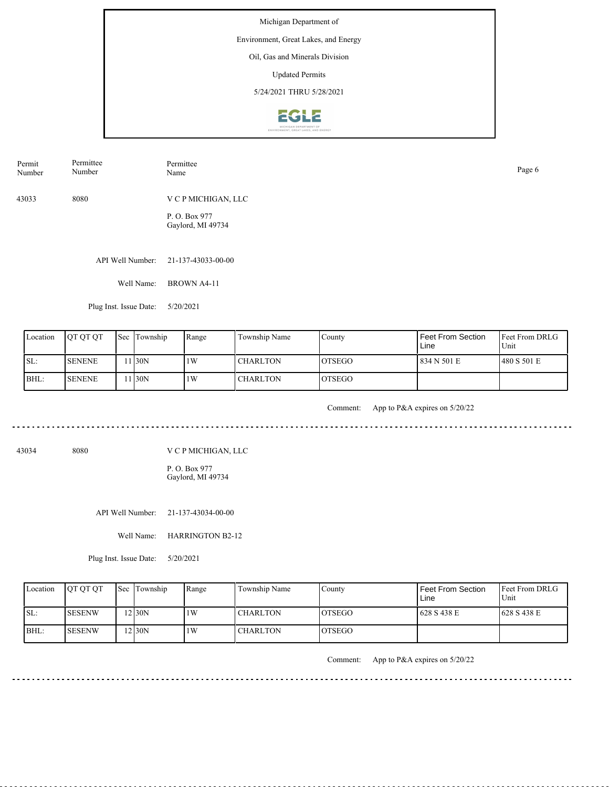Michigan Department of Environment, Great Lakes, and Energy Oil, Gas and Minerals Division Updated Permits 5/24/2021 THRU 5/28/2021**EGLE** 

API Well Number: 21-137-43033-00-00 Well Name: BROWN A4-11 43033 8080 V C P MICHIGAN, LLC P. O. Box 977 Gaylord, MI 49734 Permit Number Permittee Number Permittee Name Page 6

Plug Inst. Issue Date: 5/20/2021

| Location | <b>OT OT OT</b> | <b>Sec</b> | Township | Range | Township Name   | County         | l Feet From Section<br>Line | <b>IFeet From DRLG</b><br>Unit |
|----------|-----------------|------------|----------|-------|-----------------|----------------|-----------------------------|--------------------------------|
| SL:      | <b>SENENE</b>   |            | 1 I30N   | 1W    | <b>CHARLTON</b> | <b>IOTSEGO</b> | 1 834 N 501 E               | 480 S 501 E                    |
| BHL:     | <b>SENENE</b>   |            | 1 I30N   | 1W    | I CHARLTON      | <b>LOTSEGO</b> |                             |                                |

المالون المالون المالون المالي

Comment: App to P&A expires on 5/20/22

. . . . . . . . . . . . . . . . .

43034 8080

V C P MICHIGAN, LLC

P. O. Box 977 Gaylord, MI 49734

API Well Number: 21-137-43034-00-00

Well Name: HARRINGTON B2-12

Plug Inst. Issue Date: 5/20/2021

| Location | <b>IOT OT OT</b> | <b>Sec Township</b> | Range | Township Name   | Countv         | Feet From Section<br>Line | <b>Feet From DRLG</b><br>Unit |
|----------|------------------|---------------------|-------|-----------------|----------------|---------------------------|-------------------------------|
| ISL:     | ISESENW          | 2130N               | 1W    | <b>CHARLTON</b> | <b>IOTSEGO</b> | 628 S 438 E               | 628 S 438 E                   |
| IBHL:    | <b>SESENW</b>    | 2130N               | 1W    | <b>CHARLTON</b> | IOTSEGO        |                           |                               |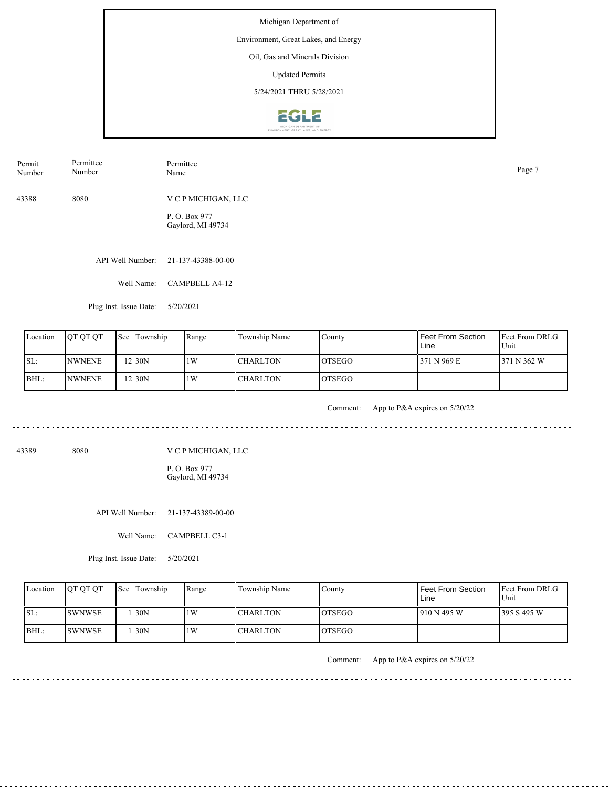Environment, Great Lakes, and Energy

### Oil, Gas and Minerals Division

Updated Permits

5/24/2021 THRU 5/28/2021



| Permit | Permittee | Permittee           | Page 7 |
|--------|-----------|---------------------|--------|
| Number | Number    | Name                |        |
| 43388  | 8080      | V C P MICHIGAN, LLC |        |

P. O. Box 977 Gaylord, MI 49734

API Well Number: 21-137-43388-00-00

Well Name: CAMPBELL A4-12

Plug Inst. Issue Date: 5/20/2021

| Location | <b>IOT OT OT</b> | <b>Sec</b> Township | Range | Township Name   | County         | Feet From Section<br>Line | <b>Feet From DRLG</b><br>Unit |
|----------|------------------|---------------------|-------|-----------------|----------------|---------------------------|-------------------------------|
| SL:      | <b>INWNENE</b>   | 12 30N              | 1W    | <b>CHARLTON</b> | <b>IOTSEGO</b> | 371 N 969 E               | 371 N 362 W                   |
| BHL:     | <b>INWNENE</b>   | 12 I30N             | 1W    | <b>CHARLTON</b> | <b>OTSEGO</b>  |                           |                               |

. . . . . . . . . . . . . . . .

Comment: App to P&A expires on 5/20/22

43389 8080

V C P MICHIGAN, LLC

P. O. Box 977 Gaylord, MI 49734

API Well Number: 21-137-43389-00-00

Well Name: CAMPBELL C3-1

Plug Inst. Issue Date: 5/20/2021

| Location | <b>OT OT OT</b> | <b>Sec</b> Township | Range | Township Name   | County         | Feet From Section<br>Line | <b>Feet From DRLG</b><br>Unit |
|----------|-----------------|---------------------|-------|-----------------|----------------|---------------------------|-------------------------------|
| ISL:     | <b>ISWNWSE</b>  | 130N                | 1W    | <b>CHARLTON</b> | <b>IOTSEGO</b> | 1910 N 495 W              | 1395 S 495 W                  |
| BHL:     | <b>SWNWSE</b>   | 130N                | 1W    | <b>CHARLTON</b> | <b>LOTSEGO</b> |                           |                               |

Comment: App to P&A expires on 5/20/22

. . . . . . . . . . . . . . . . . . . .

 $\frac{1}{2}$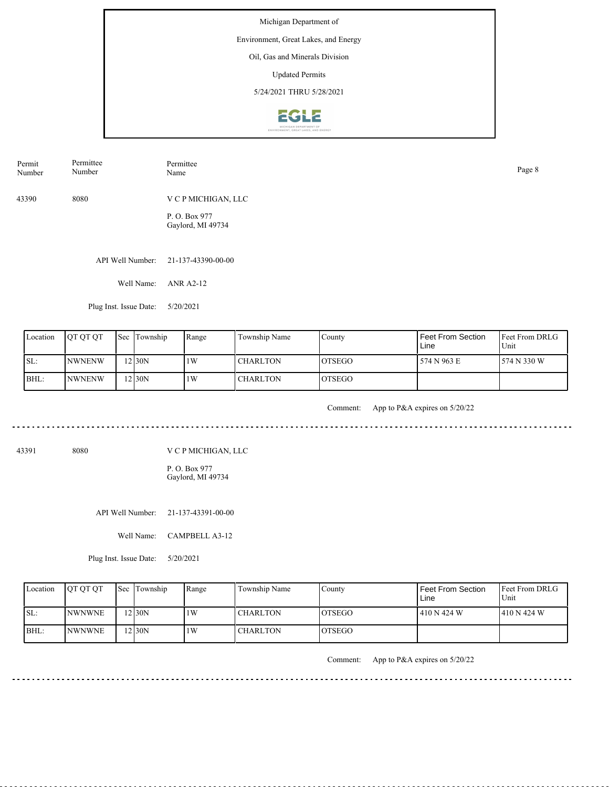Environment, Great Lakes, and Energy

# Oil, Gas and Minerals Division

Updated Permits

5/24/2021 THRU 5/28/2021



| Permit | Permittee | Permittee           | Page 8 |
|--------|-----------|---------------------|--------|
| Number | Number    | Name                |        |
| 43390  | 8080      | V C P MICHIGAN, LLC |        |

P. O. Box 977 Gaylord, MI 49734

API Well Number: 21-137-43390-00-00

Well Name: ANR A2-12

Plug Inst. Issue Date: 5/20/2021

| Location | <b>IOT OT OT</b> | <b>Sec Township</b> | Range | Township Name   | County         | Feet From Section<br>Line | <b>Feet From DRLG</b><br>Unit |
|----------|------------------|---------------------|-------|-----------------|----------------|---------------------------|-------------------------------|
| ISL:     | <b>INWNENW</b>   | 12 30N              | 1W    | <b>CHARLTON</b> | <b>IOTSEGO</b> | 574 N 963 E               | 574 N 330 W                   |
| BHL:     | <b>INWNENW</b>   | 12130N              | 1W    | <b>CHARLTON</b> | <b>IOTSEGO</b> |                           |                               |

. . . . . . . . . . . . . . . .

Comment: App to P&A expires on 5/20/22

. . . . . . . . . . . . . . . . . . . .

 $- - - -$ 

43391 8080

V C P MICHIGAN, LLC

P. O. Box 977 Gaylord, MI 49734

API Well Number: 21-137-43391-00-00

Well Name: CAMPBELL A3-12

Plug Inst. Issue Date: 5/20/2021

| Location | <b>OT OT OT</b> | <b>Sec</b> Township | Range | Township Name   | County         | Feet From Section<br>Line | <b>Feet From DRLG</b><br>Unit |
|----------|-----------------|---------------------|-------|-----------------|----------------|---------------------------|-------------------------------|
| ISL:     | <b>INWNWNE</b>  | 12 30N              | 1W    | <b>CHARLTON</b> | <b>IOTSEGO</b> | 410 N 424 W               | 1410 N 424 W                  |
| BHL:     | <b>NWNWNE</b>   | 12 30N              | 1W    | <b>CHARLTON</b> | IOTSEGO        |                           |                               |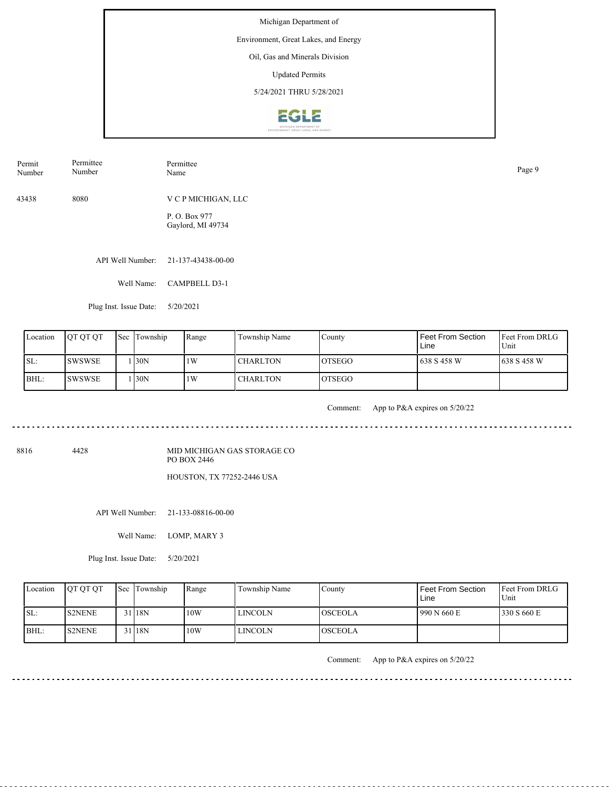Environment, Great Lakes, and Energy

## Oil, Gas and Minerals Division

Updated Permits

5/24/2021 THRU 5/28/2021



| Permit | Permittee | Permittee           | Page 9 |
|--------|-----------|---------------------|--------|
| Number | Number    | Name                |        |
| 43438  | 8080      | V C P MICHIGAN, LLC |        |

P. O. Box 977 Gaylord, MI 49734

API Well Number: 21-137-43438-00-00

Well Name: CAMPBELL D3-1

Plug Inst. Issue Date: 5/20/2021

| Location | <b>OT OT OT</b> | <b>Sec</b> Township | Range | Township Name   | County         | Feet From Section<br>Line | <b>Feet From DRLG</b><br>Unit |
|----------|-----------------|---------------------|-------|-----------------|----------------|---------------------------|-------------------------------|
| SL:      | <b>ISWSWSE</b>  | 130N                | 1W    | <b>CHARLTON</b> | <b>IOTSEGO</b> | l 638 S 458 W             | 1638 S 458 W                  |
| BHL:     | <b>ISWSWSE</b>  | 130N                | 1W    | <b>CHARLTON</b> | <b>IOTSEGO</b> |                           |                               |

<u>. . . . . . . . .</u>

Comment: App to P&A expires on 5/20/22

8816 4428

MID MICHIGAN GAS STORAGE CO PO BOX 2446 HOUSTON, TX 77252-2446 USA

API Well Number: 21-133-08816-00-00

Well Name: LOMP, MARY 3

Plug Inst. Issue Date: 5/20/2021

| Location | <b>OT OT OT</b> | <b>Sec Township</b> | Range | Township Name  | County           | Feet From Section<br>Line | <b>Feet From DRLG</b><br>Unit |
|----------|-----------------|---------------------|-------|----------------|------------------|---------------------------|-------------------------------|
| ISL:     | <b>S2NENE</b>   | 118N                | 10W   | <b>LINCOLN</b> | <b>l</b> osceola | 990 N 660 E               | 330 S $660 E$                 |
| BHL:     | <b>S2NENE</b>   | 118N                | 10W   | <b>LINCOLN</b> | <b>IOSCEOLA</b>  |                           |                               |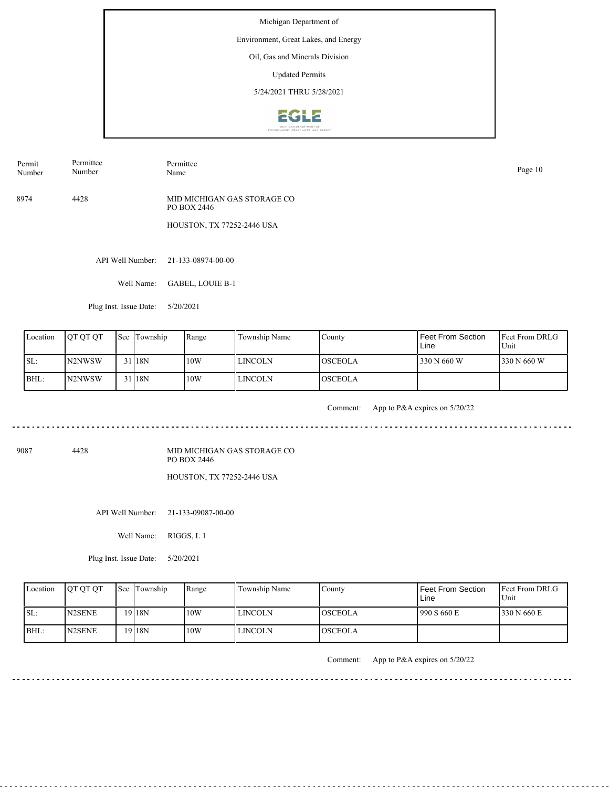Environment, Great Lakes, and Energy

## Oil, Gas and Minerals Division

Updated Permits

5/24/2021 THRU 5/28/2021



Permit Number Permittee Number

Permittee Page 10<br>Name Page 10

8974 4428 MID MICHIGAN GAS STORAGE CO PO BOX 2446

HOUSTON, TX 77252-2446 USA

API Well Number: 21-133-08974-00-00

Well Name: GABEL, LOUIE B-1

Plug Inst. Issue Date: 5/20/2021

|       | Location | <b>IOT OT OT</b>    | <b>Sec Township</b> | Range | Township Name  | County          | Feet From Section<br>Line | <b>Feet From DRLG</b><br>Unit |
|-------|----------|---------------------|---------------------|-------|----------------|-----------------|---------------------------|-------------------------------|
| ISL:  |          | N <sub>2</sub> NWSW | 31 18N              | 10W   | LINCOLN        | <b>IOSCEOLA</b> | 330 N 660 W               | 330 N 660 W                   |
| IBHL: |          | IN2NWSW             | 31 18N              | 10W   | <b>LINCOLN</b> | <b>LOSCEOLA</b> |                           |                               |

<u>. . . . . . . .</u>

Comment: App to P&A expires on 5/20/22

9087 4428

MID MICHIGAN GAS STORAGE CO PO BOX 2446 HOUSTON, TX 77252-2446 USA

API Well Number: 21-133-09087-00-00

Well Name: RIGGS, L 1

Plug Inst. Issue Date: 5/20/2021

| Location | <b>IOT OT OT</b>                | <b>Sec</b> Township | Range | Township Name  | County          | Feet From Section<br>∟ine | <b>Feet From DRLG</b><br>Unit |
|----------|---------------------------------|---------------------|-------|----------------|-----------------|---------------------------|-------------------------------|
| ISL:     | N <sub>2</sub> SEN <sub>E</sub> | 19 18N              | 10W   | <b>LINCOLN</b> | <b>IOSCEOLA</b> | 990 S 660 E               | 330 N 660 E                   |
| BHL:     | N <sub>2</sub> SEN <sub>E</sub> | 19 18N              | 10W   | <b>LINCOLN</b> | IOSCEOLA        |                           |                               |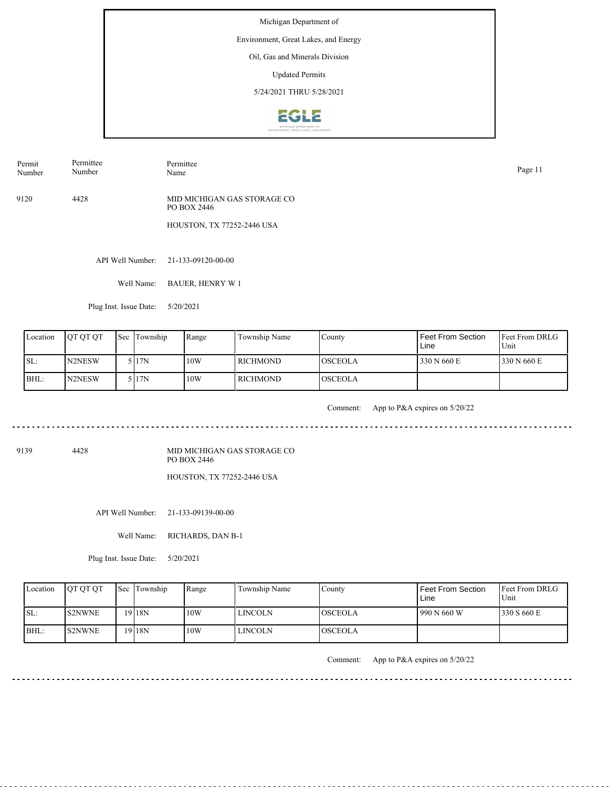Environment, Great Lakes, and Energy

## Oil, Gas and Minerals Division

Updated Permits

5/24/2021 THRU 5/28/2021



Permit Number Permittee Number

Permittee Page 11<br>Name Page 11

9120 4428 MID MICHIGAN GAS STORAGE CO PO BOX 2446

HOUSTON, TX 77252-2446 USA

API Well Number: 21-133-09120-00-00

Well Name: BAUER, HENRY W 1

Plug Inst. Issue Date: 5/20/2021

| Location | <b>IOT OT OT</b> | <b>Sec Township</b> | l Range | Township Name | County         | Feet From Section<br>Line | <b>Feet From DRLG</b><br>Unit |
|----------|------------------|---------------------|---------|---------------|----------------|---------------------------|-------------------------------|
| ISL:     | <b>IN2NESW</b>   | 5 I 17 N            | 10W     | RICHMOND      | <b>OSCEOLA</b> | 330 N 660 E               | 330 N 660 E                   |
| IBHL:    | N2NESW           | 5 I 17N             | 10W     | RICHMOND_     | <b>OSCEOLA</b> |                           |                               |

<u>. . . . . . . .</u>

Comment: App to P&A expires on 5/20/22

9139 4428

MID MICHIGAN GAS STORAGE CO PO BOX 2446 HOUSTON, TX 77252-2446 USA

API Well Number: 21-133-09139-00-00

Well Name: RICHARDS, DAN B-1

Plug Inst. Issue Date: 5/20/2021

| Location | <b>OT OT OT</b> | Sec Township      | Range | Township Name  | County         | <b>Feet From Section</b><br>∟ine | <b>Feet From DRLG</b><br>Unit |
|----------|-----------------|-------------------|-------|----------------|----------------|----------------------------------|-------------------------------|
| ISL:     | <b>S2NWNE</b>   | $19$   18N        | 10W   | <b>LINCOLN</b> | IOSCEOLA       | 990 N 660 W                      | 1330 S 660 E                  |
| BHL:     | <b>S2NWNE</b>   | <sup>19</sup> 18N | 10W   | <b>LINCOLN</b> | <b>OSCEOLA</b> |                                  |                               |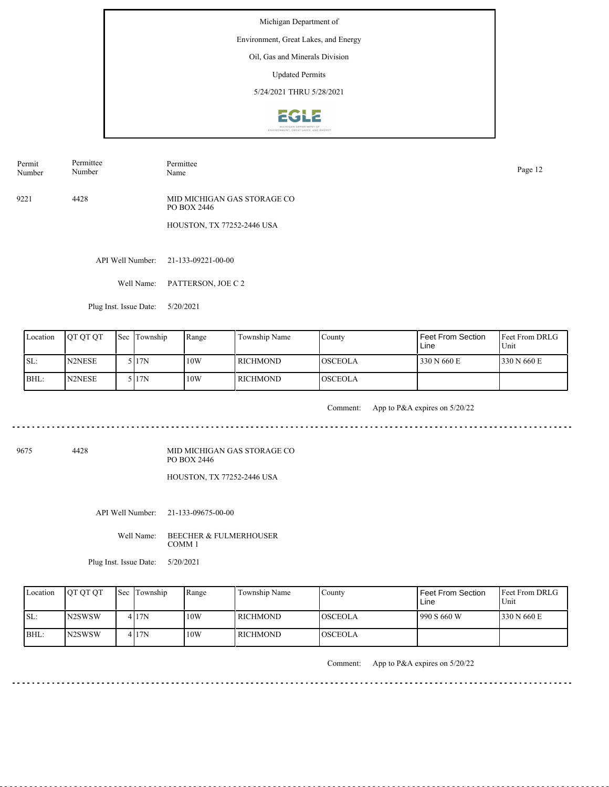Environment, Great Lakes, and Energy

## Oil, Gas and Minerals Division

Updated Permits

5/24/2021 THRU 5/28/2021



Permit Number Permittee Number

Page 12<br>Name Page 12

Permittee

9221 4428 MID MICHIGAN GAS STORAGE CO PO BOX 2446

HOUSTON, TX 77252-2446 USA

API Well Number: 21-133-09221-00-00

Well Name: PATTERSON, JOE C 2

Plug Inst. Issue Date: 5/20/2021

| Location | <b>OT OT OT</b> | Sec Township | Range | Township Name   | County         | Feet From Section<br>Line | <b>IFeet From DRLG</b><br>Unit |
|----------|-----------------|--------------|-------|-----------------|----------------|---------------------------|--------------------------------|
| ISL:     | N2NESE          | 5 I 17N      | 10W   | RICHMOND        | <b>OSCEOLA</b> | 330 N 660 E               | 330 N 660 E                    |
| IBHL:    | N2NESE          | 5 I 17N      | 10W   | <b>RICHMOND</b> | <b>OSCEOLA</b> |                           |                                |

<u>. . . . . . . . . .</u>

Comment: App to P&A expires on 5/20/22

9675 4428

MID MICHIGAN GAS STORAGE CO PO BOX 2446 HOUSTON, TX 77252-2446 USA

API Well Number: 21-133-09675-00-00

Well Name: BEECHER & FULMERHOUSER COMM 1

Plug Inst. Issue Date: 5/20/2021

| Location | <b>OT OT OT</b>                 | Sec Township | Range | Township Name | County         | l Feet From Section<br>Line | <b>IFeet From DRLG</b><br>Unit |
|----------|---------------------------------|--------------|-------|---------------|----------------|-----------------------------|--------------------------------|
| ISL:     | IN2SWSW                         | 417N         | 10W   | l richmond-   | <b>OSCEOLA</b> | 990 S660 W                  | 1330 N 660 E                   |
| $IBHL$ : | N <sub>2</sub> SW <sub>SW</sub> | 417N         | 10W   | l RICHMOND    | <b>OSCEOLA</b> |                             |                                |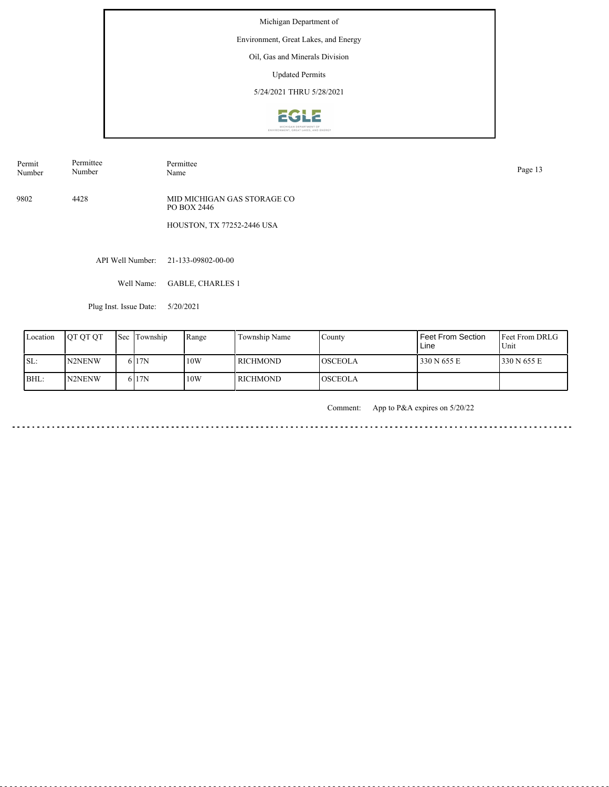Environment, Great Lakes, and Energy

#### Oil, Gas and Minerals Division

Updated Permits

5/24/2021 THRU 5/28/2021



Permit Number Permittee Number

Permittee<br>Name

9802 4428 MID MICHIGAN GAS STORAGE CO PO BOX 2446

HOUSTON, TX 77252-2446 USA

API Well Number: 21-133-09802-00-00

Well Name: GABLE, CHARLES 1

Plug Inst. Issue Date: 5/20/2021

| Location | <b>OT OT OT</b> | <b>Sec Township</b> | Range | Township Name | County         | <b>Feet From Section</b><br>Line | Feet From DRLG<br>Unit |
|----------|-----------------|---------------------|-------|---------------|----------------|----------------------------------|------------------------|
| SL:      | <b>IN2NENW</b>  | 6 <sub>17N</sub>    | 10W   | I RICHMOND    | <b>OSCEOLA</b> | 330 N 655 E                      | 330 N 655 E            |
| BHL:     | N2NENW          | 6 <sub>17N</sub>    | 10W   | I RICHMOND    | <b>OSCEOLA</b> |                                  |                        |

Comment: App to P&A expires on 5/20/22

 $\frac{1}{2} \left( \frac{1}{2} \right) \left( \frac{1}{2} \right) \left( \frac{1}{2} \right) \left( \frac{1}{2} \right) \left( \frac{1}{2} \right) \left( \frac{1}{2} \right)$ 

Page 13<br>Name Page 13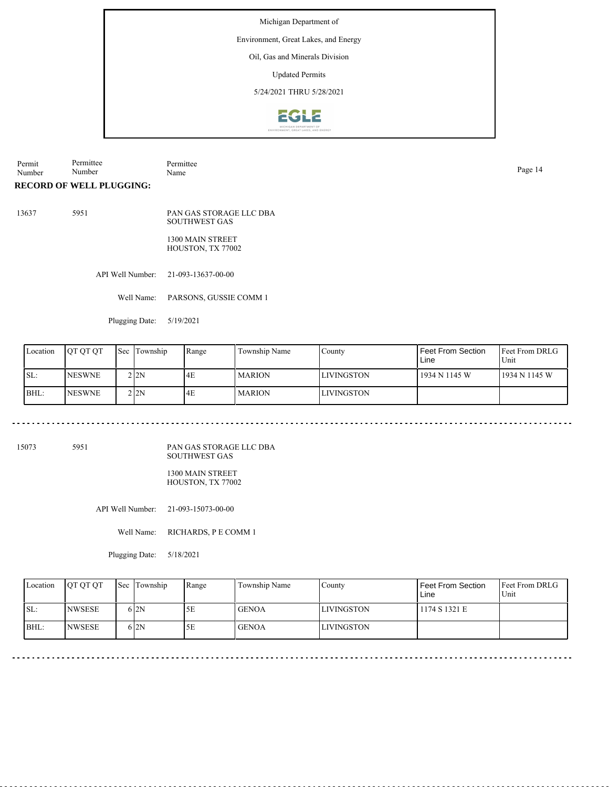Environment, Great Lakes, and Energy

#### Oil, Gas and Minerals Division

Updated Permits

5/24/2021 THRU 5/28/2021



**RECORD OF WELL PLUGGING:** Permit Number Permittee Number Permittee Page 14<br>Name Page 14

13637 5951 PAN GAS STORAGE LLC DBA

> 1300 MAIN STREET HOUSTON, TX 77002

SOUTHWEST GAS

API Well Number: 21-093-13637-00-00

Well Name: PARSONS, GUSSIE COMM 1

Plugging Date: 5/19/2021

| Location | <b>JOT OT OT</b> | <b>Sec</b> Township | Range | Township Name | County             | l Feet From Section<br>Line | <b>IFeet From DRLG</b><br>Unit |
|----------|------------------|---------------------|-------|---------------|--------------------|-----------------------------|--------------------------------|
| ISL:     | <b>NESWNE</b>    | 2 I 2 N             | 4E    | <b>MARION</b> | <b>ILIVINGSTON</b> | 1934 N 1145 W               | 1934 N 1145 W                  |
| BHL:     | <b>NESWNE</b>    | 2 I 2 N             | 14E   | <b>MARION</b> | <b>ILIVINGSTON</b> |                             |                                |

15073 5951

PAN GAS STORAGE LLC DBA SOUTHWEST GAS

1300 MAIN STREET HOUSTON, TX 77002

API Well Number: 21-093-15073-00-00

Well Name: RICHARDS, P E COMM 1

Plugging Date: 5/18/2021

| Location | <b>OT OT OT</b> | <b>Sec Township</b> | Range | Township Name | Countv            | <b>Feet From Section</b><br>Line | <b>Feet From DRLG</b><br>Unit |
|----------|-----------------|---------------------|-------|---------------|-------------------|----------------------------------|-------------------------------|
| ISL:     | <b>NWSESE</b>   | $6\,$ 2N            | 5Е    | <b>GENOA</b>  | <b>LIVINGSTON</b> | 1174 S 1321 E                    |                               |
| BHL:     | <b>INWSESE</b>  | $6\,$ 2N            | 5Ε    | <b>GENOA</b>  | LIVINGSTON        |                                  |                               |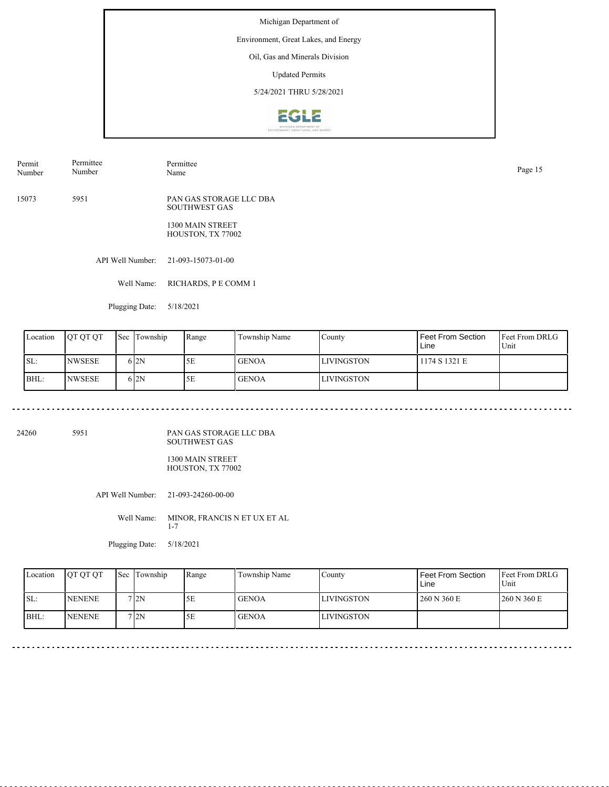Environment, Great Lakes, and Energy

## Oil, Gas and Minerals Division

Updated Permits

5/24/2021 THRU 5/28/2021



Permit Number Permittee Number

Permittee Page 15<br>Name Page 15

15073 5951 PAN GAS STORAGE LLC DBA SOUTHWEST GAS

> 1300 MAIN STREET HOUSTON, TX 77002

API Well Number: 21-093-15073-01-00

Well Name: RICHARDS, P E COMM 1

Plugging Date: 5/18/2021

<u>. . . . . . . . . . . . . .</u>

| Location | <b>IOT OT OT</b> | Sec | Township | Range | Township Name | County             | Feet From Section<br>Line | <b>Feet From DRLG</b><br>Unit |
|----------|------------------|-----|----------|-------|---------------|--------------------|---------------------------|-------------------------------|
| SL:      | <b>INWSESE</b>   |     | 612N     | 5Ε    | <b>GENOA</b>  | <b>LIVINGSTON</b>  | 1174 S 1321 E             |                               |
| BHL:     | <b>INWSESE</b>   |     | 612N     | 5Ε    | <b>GENOA</b>  | <b>ILIVINGSTON</b> |                           |                               |

24260 5951

PAN GAS STORAGE LLC DBA SOUTHWEST GAS

1300 MAIN STREET HOUSTON, TX 77002

API Well Number: 21-093-24260-00-00

Well Name: MINOR, FRANCIS N ET UX ET AL 1-7

Plugging Date: 5/18/2021

| Location | <b>OT OT OT</b> | Sec Township | Range | Township Name | County             | Feet From Section<br>Line | Feet From DRLG<br>Unit |
|----------|-----------------|--------------|-------|---------------|--------------------|---------------------------|------------------------|
| ISL:     | <b>NENENE</b>   | 712N         | 5Ε    | <b>GENOA</b>  | <b>ILIVINGSTON</b> | 260 N 360 E               | 260 N 360 E            |
| BHL:     | <b>INENENE</b>  | 712N         | 5E    | <b>GENOA</b>  | LIVINGSTON         |                           |                        |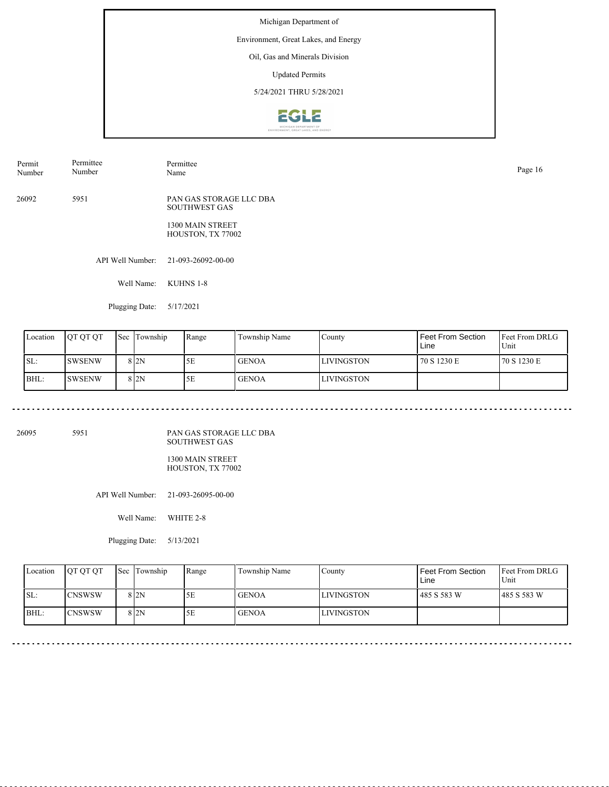Environment, Great Lakes, and Energy

## Oil, Gas and Minerals Division

Updated Permits

5/24/2021 THRU 5/28/2021



Permit Number Permittee Number

Permittee Page 16<br>Name Page 16

26092 5951 PAN GAS STORAGE LLC DBA SOUTHWEST GAS

> 1300 MAIN STREET HOUSTON, TX 77002

API Well Number: 21-093-26092-00-00

Well Name: KUHNS 1-8

Plugging Date: 5/17/2021

| Location | <b>IOT OT OT</b> | <b>Sec</b> | Township        | Range | Township Name | County             | Feet From Section<br>Line | <b>Feet From DRLG</b><br>Unit |
|----------|------------------|------------|-----------------|-------|---------------|--------------------|---------------------------|-------------------------------|
| ISL:     | <b>SWSENW</b>    |            | 8 <sub>2N</sub> | 5Ε    | <b>GENOA</b>  | <b>ILIVINGSTON</b> | 70 S 1230 E               | 70 S 1230 E                   |
| BHL:     | <b>SWSENW</b>    |            | 8 <sub>2N</sub> | 5Ε    | <b>GENOA</b>  | <b>ILIVINGSTON</b> |                           |                               |

26095 5951

PAN GAS STORAGE LLC DBA SOUTHWEST GAS

1300 MAIN STREET HOUSTON, TX 77002

API Well Number: 21-093-26095-00-00

Well Name: WHITE 2-8

Plugging Date: 5/13/2021

| Location | <b>OT OT OT</b> | <b>Sec Township</b> | Range | Township Name | County             | Feet From Section<br>Line | <b>Feet From DRLG</b><br>Unit |
|----------|-----------------|---------------------|-------|---------------|--------------------|---------------------------|-------------------------------|
| SL:      | <b>ICNSWSW</b>  | 8 <sub>2N</sub>     | 5E    | l GENOA       | <b>ILIVINGSTON</b> | 485 S 583 W               | 1485 S 583 W                  |
| IBHL:    | ICNSWSW         | 8 <sub>2N</sub>     | 5Ε    | <b>GENOA</b>  | LIVINGSTON         |                           |                               |

<u>. . . . . . . . .</u>

 $\sim$   $\sim$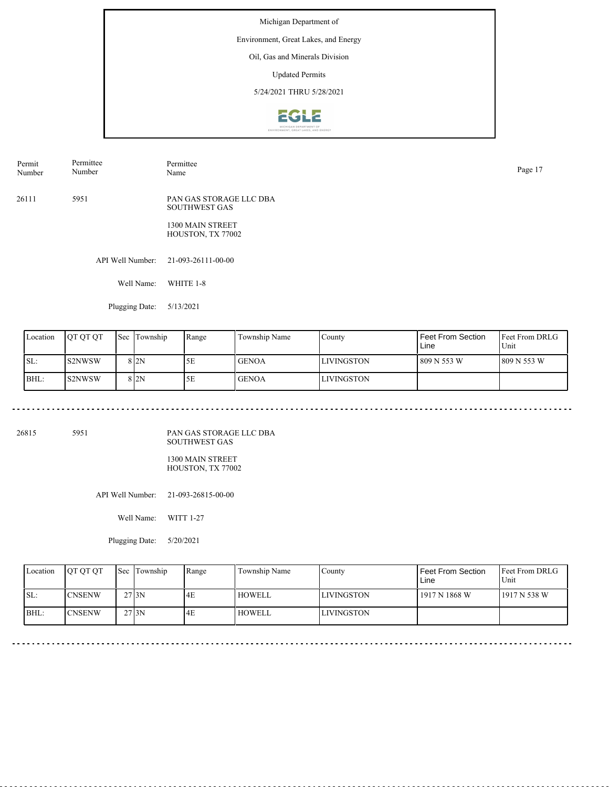Environment, Great Lakes, and Energy

### Oil, Gas and Minerals Division

Updated Permits

5/24/2021 THRU 5/28/2021



Permit Number Permittee Number Permittee Page 17<br>Name Page 17

26111 5951 PAN GAS STORAGE LLC DBA SOUTHWEST GAS

> 1300 MAIN STREET HOUSTON, TX 77002

API Well Number: 21-093-26111-00-00

Well Name: WHITE 1-8

Plugging Date: 5/13/2021

| Location | <b>IOT OT OT</b> | <b>Sec</b> | Township        | Range | Township Name | County             | Feet From Section<br>Line | <b>Feet From DRLG</b><br>Unit |
|----------|------------------|------------|-----------------|-------|---------------|--------------------|---------------------------|-------------------------------|
| ISL:     | <b>S2NWSW</b>    |            | 8 <sub>2N</sub> | 5Ε    | <b>GENOA</b>  | <b>ILIVINGSTON</b> | 809 N 553 W               | 809 N 553 W                   |
| BHL:     | <b>S2NWSW</b>    |            | 8 <sub>2N</sub> | 5Ε    | <b>GENOA</b>  | <b>ILIVINGSTON</b> |                           |                               |

26815 5951

PAN GAS STORAGE LLC DBA SOUTHWEST GAS

1300 MAIN STREET HOUSTON, TX 77002

API Well Number: 21-093-26815-00-00

Well Name: WITT 1-27

Plugging Date: 5/20/2021

| Location | <b>OT OT OT</b> | Sec Township       | Range | Township Name | County            | Feet From Section<br>Line | <b>Feet From DRLG</b><br>Unit |
|----------|-----------------|--------------------|-------|---------------|-------------------|---------------------------|-------------------------------|
| SL:      | <b>ICNSENW</b>  | $27$ <sub>3N</sub> | 4E    | HOWELL        | <b>LIVINGSTON</b> | 1917 N 1868 W             | 1917 N 538 W                  |
| BHL:     | <b>ICNSENW</b>  | $27$ <sub>3N</sub> | 4E    | <b>HOWELL</b> | <b>LIVINGSTON</b> |                           |                               |

<u>. . . . . . . . . . . . .</u>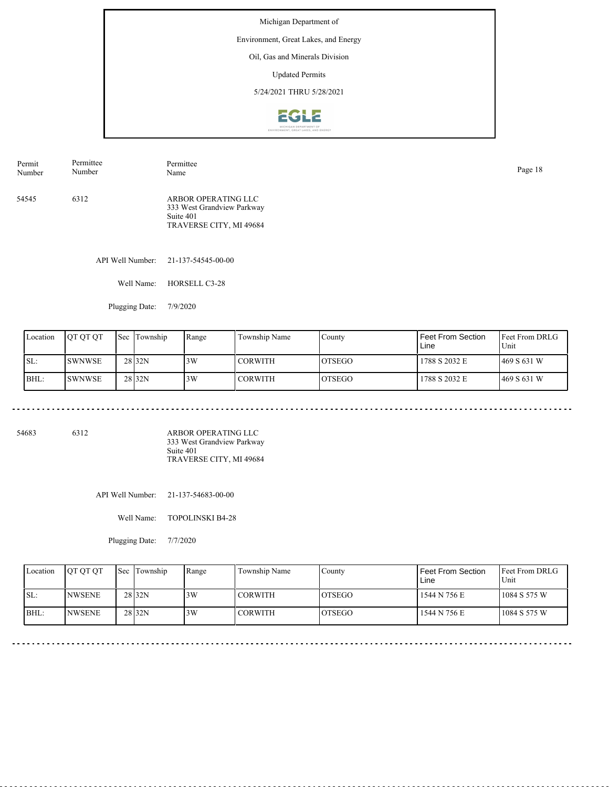Environment, Great Lakes, and Energy

## Oil, Gas and Minerals Division

Updated Permits

5/24/2021 THRU 5/28/2021



| Permit | Permittee | Permittee                                                                                 | Page 18 |
|--------|-----------|-------------------------------------------------------------------------------------------|---------|
| Number | Number    | Name                                                                                      |         |
| 54545  | 6312      | ARBOR OPERATING LLC<br>333 West Grandview Parkway<br>Suite 401<br>TRAVERSE CITY, MI 49684 |         |

API Well Number: 21-137-54545-00-00

Well Name: HORSELL C3-28

Plugging Date: 7/9/2020

| Location | <b>IOT OT OT</b> | 'Sec | Township          | Range | Township Name  | County         | Feet From Section<br>Line | <b>IFeet From DRLG</b><br>Unit |
|----------|------------------|------|-------------------|-------|----------------|----------------|---------------------------|--------------------------------|
| ISL:     | <b>SWNWSE</b>    |      | 28 <sub>32N</sub> | 3W    | <b>CORWITH</b> | IOTSEGO        | 1788 S 2032 E             | 469 S 631 W                    |
| BHL:     | <b>SWNWSE</b>    |      | 28 <sub>32N</sub> | 3W    | CORWITH        | <b>IOTSEGO</b> | 1788 S 2032 E             | 469 S 631 W                    |

54683 6312

ARBOR OPERATING LLC 333 West Grandview Parkway Suite 401 TRAVERSE CITY, MI 49684

API Well Number: 21-137-54683-00-00

Well Name: TOPOLINSKI B4-28

Plugging Date: 7/7/2020

| Location | <b>IOT OT OT</b> | <b>Sec</b> Township | Range | Township Name  | County         | Feet From Section<br>Line | <b>IFeet From DRLG</b><br>Unit |
|----------|------------------|---------------------|-------|----------------|----------------|---------------------------|--------------------------------|
| ISL:     | <b>INWSENE</b>   | 28 <sub>32N</sub>   | 3W    | <b>CORWITH</b> | <b>IOTSEGO</b> | 1544 N 756 E              | $1084$ S 575 W                 |
| BHL:     | <b>INWSENE</b>   | 28 <sub>32N</sub>   | 3W    | <b>CORWITH</b> | <b>LOTSEGO</b> | 1544 N 756 E              | $1084$ S 575 W                 |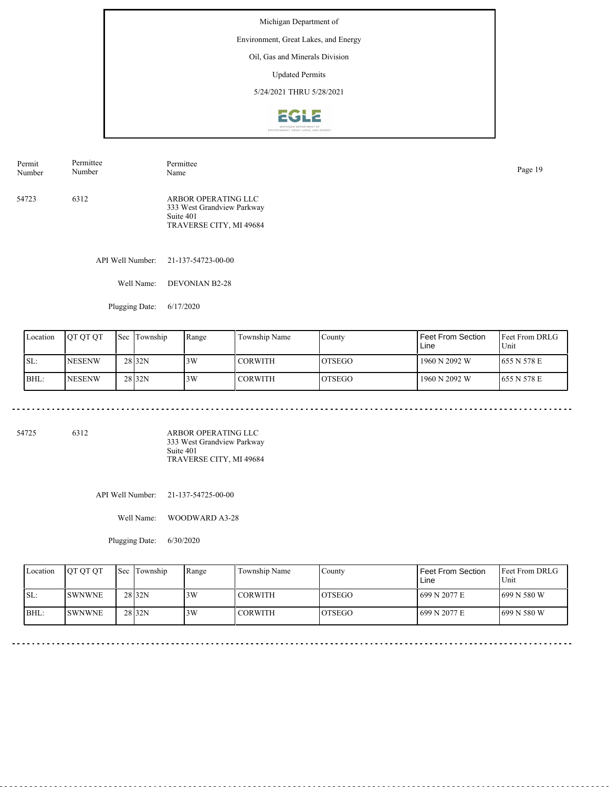Environment, Great Lakes, and Energy

## Oil, Gas and Minerals Division

Updated Permits

5/24/2021 THRU 5/28/2021



| Permit | Permittee | Permittee                                                                                 | Page 19 |
|--------|-----------|-------------------------------------------------------------------------------------------|---------|
| Number | Number    | Name                                                                                      |         |
| 54723  | 6312      | ARBOR OPERATING LLC<br>333 West Grandview Parkway<br>Suite 401<br>TRAVERSE CITY, MI 49684 |         |

API Well Number: 21-137-54723-00-00

Well Name: DEVONIAN B2-28

Plugging Date: 6/17/2020

| Location | <b>JOT OT OT</b> | Sec | Township          | Range | Township Name  | County         | Feet From Section<br>Line | <b>IFeet From DRLG</b><br>Unit |
|----------|------------------|-----|-------------------|-------|----------------|----------------|---------------------------|--------------------------------|
| SL:      | <b>INESENW</b>   |     | 28 <sub>32N</sub> | 3W    | <b>CORWITH</b> | IOTSEGO        | 1960 N 2092 W             | 1655 N 578 E                   |
| BHL:     | <b>INESENW</b>   |     | 28 <sub>32N</sub> | 3W    | <b>CORWITH</b> | <b>IOTSEGO</b> | 1960 N 2092 W             | <b>655 N 578 E</b>             |

54725 6312

ARBOR OPERATING LLC 333 West Grandview Parkway Suite 401 TRAVERSE CITY, MI 49684

API Well Number: 21-137-54725-00-00

Well Name: WOODWARD A3-28

Plugging Date: 6/30/2020

| Location | <b>OT OT OT</b> | <b>Sec</b> Township | Range | Township Name  | County  | Feet From Section<br>Line | <b>IFeet From DRLG</b><br>Unit |
|----------|-----------------|---------------------|-------|----------------|---------|---------------------------|--------------------------------|
| ISL:     | <b>SWNWNE</b>   | 28 <sub>32N</sub>   | 3W    | <b>CORWITH</b> | IOTSEGO | 699 N 2077 E              | 1699 N 580 W                   |
| BHL:     | <b>ISWNWNE</b>  | 28 <sub>32N</sub>   | 3W    | <b>CORWITH</b> | IOTSEGO | 699 N 2077 E              | 1699 N 580 W                   |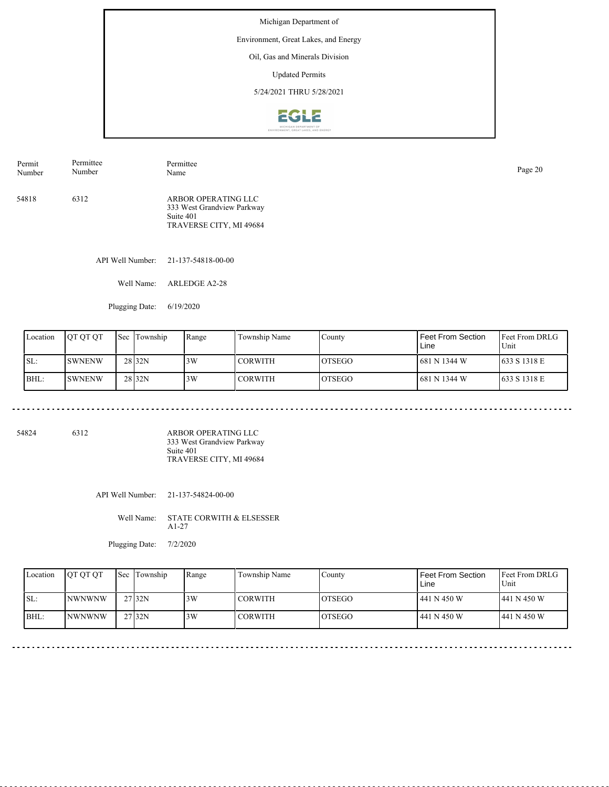Environment, Great Lakes, and Energy

## Oil, Gas and Minerals Division

Updated Permits

5/24/2021 THRU 5/28/2021



| Permit | Permittee | Permittee                                                                                 | Page 20 |
|--------|-----------|-------------------------------------------------------------------------------------------|---------|
| Number | Number    | Name                                                                                      |         |
| 54818  | 6312      | ARBOR OPERATING LLC<br>333 West Grandview Parkway<br>Suite 401<br>TRAVERSE CITY, MI 49684 |         |

API Well Number: 21-137-54818-00-00

Well Name: ARLEDGE A2-28

Plugging Date: 6/19/2020

<u>. . . . . . . . . . . . . .</u>

| Location | <b>JOT OT OT</b> | <b>Sec</b> | Township          | Range | Township Name | County         | Feet From Section<br>Line | <b>IFeet From DRLG</b><br>Unit |
|----------|------------------|------------|-------------------|-------|---------------|----------------|---------------------------|--------------------------------|
| ISL:     | <b>SWNENW</b>    |            | 28 <sub>32N</sub> | 3W    | I CORWITH     | <b>IOTSEGO</b> | 681 N 1344 W              | 633 S 1318 E                   |
| BHL:     | <b>SWNENW</b>    |            | 28 <sub>32N</sub> | 3W    | I CORWITH     | <b>IOTSEGO</b> | 1681 N 1344 W             | 633 S 1318 E                   |

54824 6312

ARBOR OPERATING LLC 333 West Grandview Parkway Suite 401 TRAVERSE CITY, MI 49684

API Well Number: 21-137-54824-00-00

Well Name: STATE CORWITH & ELSESSER A1-27

Plugging Date: 7/2/2020

| Location | <b>OT OT OT</b> | <b>Sec</b> Township | Range | Township Name  | County         | Feet From Section<br>Line | <b>IFeet From DRLG</b><br>Unit |
|----------|-----------------|---------------------|-------|----------------|----------------|---------------------------|--------------------------------|
| SL:      | <b>NWNWNW</b>   | $27$ <sub>32N</sub> | 3W    | l CORWITH      | <b>IOTSEGO</b> | 441 N 450 W               | 441 N 450 W                    |
| BHL:     | <b>NWNWNW</b>   | 27 <sub>32N</sub>   | 3W    | <b>CORWITH</b> | <b>IOTSEGO</b> | 441 N 450 W               | 441 N 450 W                    |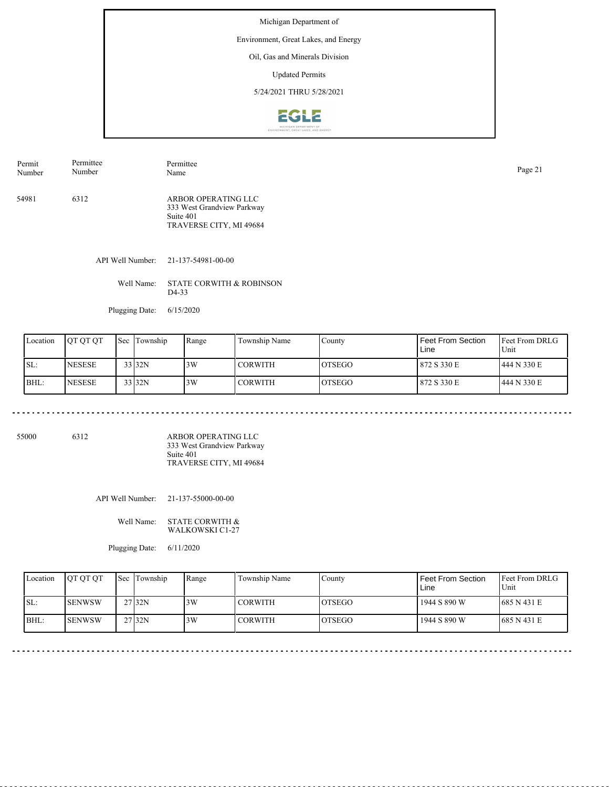Environment, Great Lakes, and Energy

## Oil, Gas and Minerals Division

Updated Permits

5/24/2021 THRU 5/28/2021



| Permit | Permittee | Permittee                                                                                 | Page 21 |
|--------|-----------|-------------------------------------------------------------------------------------------|---------|
| Number | Number    | Name                                                                                      |         |
| 54981  | 6312      | ARBOR OPERATING LLC<br>333 West Grandview Parkway<br>Suite 401<br>TRAVERSE CITY, MI 49684 |         |

API Well Number: 21-137-54981-00-00

Well Name: STATE CORWITH & ROBINSON D4-33

Plugging Date: 6/15/2020

| Location | <b>IOT OT OT</b> | Sec Township | Range | Township Name | County         | Feet From Section<br>Line | <b>Feet From DRLG</b><br>Unit |
|----------|------------------|--------------|-------|---------------|----------------|---------------------------|-------------------------------|
| ISL:     | <b>INESESE</b>   | 33 32N       | 3W    | l CORWITH-    | <b>IOTSEGO</b> | 872 S 330 E               | 1444 N 330 E                  |
| BHL:     | <b>NESESE</b>    | 33 32N       | 3W    | l CORWITH-    | <b>IOTSEGO</b> | 1872 S 330 E              | 1444 N 330 E                  |

55000 6312

ARBOR OPERATING LLC 333 West Grandview Parkway Suite 401 TRAVERSE CITY, MI 49684

API Well Number: 21-137-55000-00-00

Well Name: STATE CORWITH & WALKOWSKI C1-27

Plugging Date: 6/11/2020

| Location | <b>OT OT OT</b> | <b>Sec</b> Township | Range | Township Name  | County         | Feet From Section<br>Line | <b>IFeet From DRLG</b><br>Unit |
|----------|-----------------|---------------------|-------|----------------|----------------|---------------------------|--------------------------------|
| ISL:     | ISENWSW         | 27 <sub>132N</sub>  | 3W    | <b>CORWITH</b> | <b>IOTSEGO</b> | 1944 S 890 W              | 685 N 431 E                    |
| IBHL:    | <b>ISENWSW</b>  | 27 <sub>32N</sub>   | 3W    | <b>CORWITH</b> | <b>LOTSEGO</b> | 1944 S 890 W              | 685 N 431 E                    |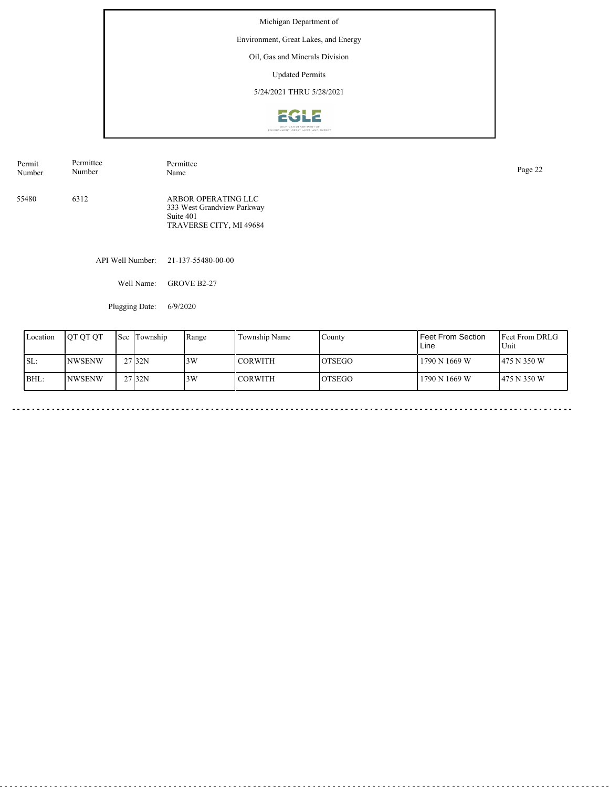Environment, Great Lakes, and Energy

# Oil, Gas and Minerals Division

Updated Permits

5/24/2021 THRU 5/28/2021



| Permit<br>Number | Permittee<br>Number | Permittee<br>Name                                                                         | Page 22 |
|------------------|---------------------|-------------------------------------------------------------------------------------------|---------|
| 55480            | 6312                | ARBOR OPERATING LLC<br>333 West Grandview Parkway<br>Suite 401<br>TRAVERSE CITY, MI 49684 |         |

API Well Number: 21-137-55480-00-00

Well Name: GROVE B2-27

Plugging Date: 6/9/2020

 $\sim$   $\sim$ 

| Location | <b>IOT OT OT</b> | Sec | Township            | Range | Township Name | County         | Feet From Section<br>Line | <b>Feet From DRLG</b><br>Unit |
|----------|------------------|-----|---------------------|-------|---------------|----------------|---------------------------|-------------------------------|
| ISL:     | <b>NWSENW</b>    |     | 27 32N              | 3W    | CORWITH       | IOTSEGO        | 1790 N 1669 W             | 475 N 350 W                   |
| BHL:     | <b>NWSENW</b>    |     | $27$ <sub>32N</sub> | 3W    | CORWITH       | <b>IOTSEGO</b> | 1790 N 1669 W             | 475 N 350 W                   |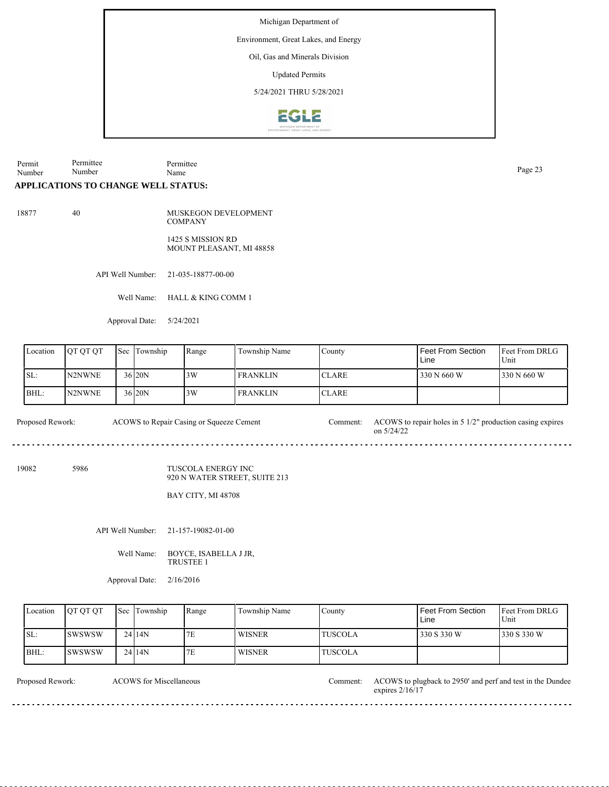Environment, Great Lakes, and Energy

Oil, Gas and Minerals Division

Updated Permits

5/24/2021 THRU 5/28/2021



Permit Number Permittee Number Permittee Page 23<br>Name Page 23

#### **APPLICATIONS TO CHANGE WELL STATUS:**

18877 40

MUSKEGON DEVELOPMENT **COMPANY** 1425 S MISSION RD

MOUNT PLEASANT, MI 48858

API Well Number: 21-035-18877-00-00

Well Name: HALL & KING COMM 1

Approval Date: 5/24/2021

| Location | <b>IOT OT OT</b> | 'Sec | Township | Range | Township Name   | County        | l Feet From Section<br>Line | Feet From DRLG<br>Unit |
|----------|------------------|------|----------|-------|-----------------|---------------|-----------------------------|------------------------|
| SL:      | N2NWNE           |      | 36 20N   | 3W    | <b>FRANKLIN</b> | <b>ICLARE</b> | 330 N 660 W                 | 330 N 660 W            |
| BHL:     | N2NWNE           |      | 36 20N   | 3W    | <b>FRANKLIN</b> | <b>ICLARE</b> |                             |                        |

Proposed Rework: ACOWS to Repair Casing or Squeeze Cement Comment: ACOWS to repair holes in 5 1/2" production casing expires on 5/24/22 ACOWS to Repair Casing or Squeeze Cement

19082 5986

TUSCOLA ENERGY INC 920 N WATER STREET, SUITE 213

BAY CITY, MI 48708

<u>. . . . . . . . .</u>

API Well Number: 21-157-19082-01-00

Well Name: BOYCE, ISABELLA J JR, TRUSTEE 1

Approval Date: 2/16/2016

| Location    | <b>OT OT OT</b> | <b>Sec Township</b> | Range | Township Name | Countv         | <b>Feet From Section</b><br>Line | <b>Feet From DRLG</b><br>Unit |
|-------------|-----------------|---------------------|-------|---------------|----------------|----------------------------------|-------------------------------|
| ISL:        | <b>ISWSWSW</b>  | 24114N              | 7E    | <b>WISNER</b> | <b>TUSCOLA</b> | 330 S 330 W                      | 1330 S 330 W                  |
| <b>BHL:</b> | <b>ISWSWSW</b>  | 2414N               | 7E    | <b>WISNER</b> | <b>TUSCOLA</b> |                                  |                               |

<u>. . . . . . . . . . . . . . . .</u>

 $2 - 2 - 2 - 2$ 

ACOWS for Miscellaneous

<u>. . . . . . . . . . . . .</u>

Proposed Rework: ACOWS for Miscellaneous Comment: ACOWS to plugback to 2950' and perf and test in the Dundee expires 2/16/17

 $\overline{a}$  .  $\overline{a}$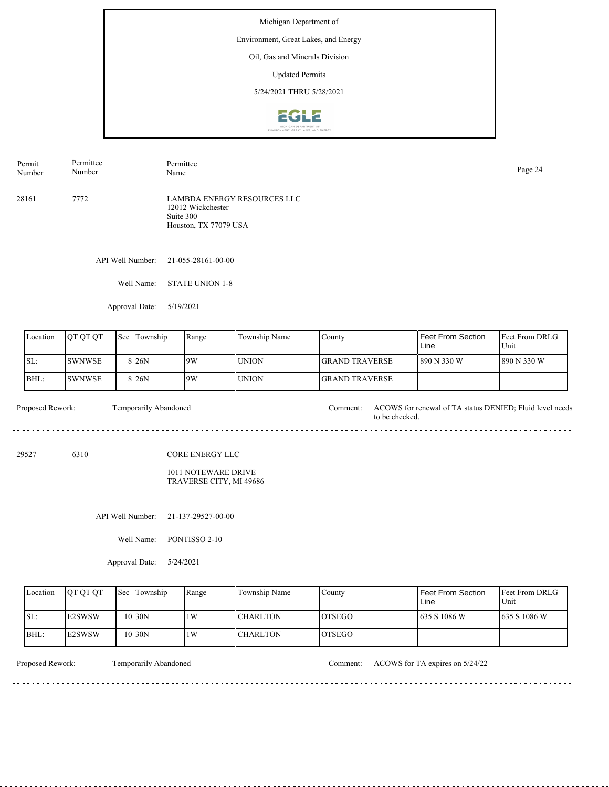Environment, Great Lakes, and Energy

## Oil, Gas and Minerals Division

Updated Permits

5/24/2021 THRU 5/28/2021



28161 7772 LAMBDA ENERGY RESOURCES LLC 12012 Wickchester Suite 300 Houston, TX 77079 USA Permit Number Permittee Number Permittee Page 24<br>Name Page 24

API Well Number: 21-055-28161-00-00

Well Name: STATE UNION 1-8

Approval Date: 5/19/2021

| Location | IOT OT OT | <b>Sec</b> Township | Range | Township Name | County                 | l Feet From Section<br>Line | <b>Feet From DRLG</b><br>Unit |
|----------|-----------|---------------------|-------|---------------|------------------------|-----------------------------|-------------------------------|
| SL:      | ISWNWSE   | 8 <sub>26</sub> N   | 19W   | <b>UNION</b>  | <b>IGRAND TRAVERSE</b> | 1 890 N 330 W               | 1890 N 330 W                  |
| BHL:     | ISWNWSE   | 8 <sub>26</sub> N   | 9W    | <b>UNION</b>  | <b>IGRAND TRAVERSE</b> |                             |                               |

Proposed Rework: Temporarily Abandoned Comment: ACOWS for renewal of TA status DENIED; Fluid level needs Temporarily Abandoned to be checked. 

29527 6310

CORE ENERGY LLC

1011 NOTEWARE DRIVE TRAVERSE CITY, MI 49686

API Well Number: 21-137-29527-00-00

Well Name: PONTISSO 2-10

Approval Date: 5/24/2021

| Location | <b>IOT OT OT</b>    | <b>Sec</b> Township | Range | Township Name   | County         | <b>Feet From Section</b><br>Line | <b>Feet From DRLG</b><br>Unit |
|----------|---------------------|---------------------|-------|-----------------|----------------|----------------------------------|-------------------------------|
| ISL:     | <b>E2SWSW</b>       | 10 30N              | 1W    | <b>CHARLTON</b> | <b>IOTSEGO</b> | 1635 S 1086 W                    | 1635 S 1086 W                 |
| BHL:     | E <sub>2</sub> SWSW | 10 30N              | 1W    | <b>CHARLTON</b> | <b>OTSEGO</b>  |                                  |                               |

<u>. . . . . . . . .</u>

Proposed Rework: Temporarily Abandoned Comment: ACOWS for TA expires on 5/24/22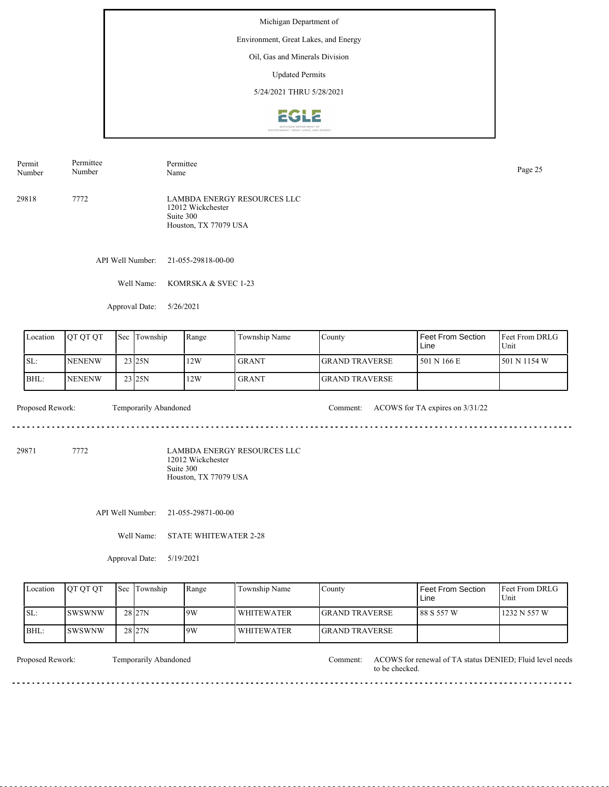Environment, Great Lakes, and Energy

## Oil, Gas and Minerals Division

Updated Permits

5/24/2021 THRU 5/28/2021



29818 7772 LAMBDA ENERGY RESOURCES LLC 12012 Wickchester Suite 300 Houston, TX 77079 USA Permit Number Permittee Number Permittee Page 25<br>Name Page 25

API Well Number: 21-055-29818-00-00

Well Name: KOMRSKA & SVEC 1-23

Approval Date: 5/26/2021

| Location | <b>IOTOTOT</b> | Sec Township       | Range | Township Name | County                 | Feet From Section<br>Line | <b>Feet From DRLG</b><br>Unit |
|----------|----------------|--------------------|-------|---------------|------------------------|---------------------------|-------------------------------|
| ISL:     | <b>INENENW</b> | 23 <sub>125N</sub> | 12W   | <b>GRANT</b>  | <b>IGRAND TRAVERSE</b> | 1 501 N 166 E             | $1501$ N 1154 W               |
| BHL:     | <b>INENENW</b> | 23 25N             | 12W   | <b>GRANT</b>  | <b>IGRAND TRAVERSE</b> |                           |                               |

 $- - - - - -$ 

Proposed Rework: Temporarily Abandoned Comment: ACOWS for TA expires on  $3/31/22$ 

29871 7772

LAMBDA ENERGY RESOURCES LLC 12012 Wickchester Suite 300 Houston, TX 77079 USA

API Well Number: 21-055-29871-00-00

Well Name: STATE WHITEWATER 2-28

Approval Date: 5/19/2021

| Location | <b>OT OT OT</b> | <b>Sec</b> Township | Range | Township Name     | County                 | <b>Feet From Section</b><br>Line | <b>IFeet From DRLG</b><br>Unit |
|----------|-----------------|---------------------|-------|-------------------|------------------------|----------------------------------|--------------------------------|
| SL:      | <b>SWSWNW</b>   | 28 27N              | 19W   | <b>WHITEWATER</b> | <b>IGRAND TRAVERSE</b> | l 88 S 557 W                     | 1232 N 557 W                   |
| BHL:     | ISWSWNW         | 28 27N              | 19W   | <b>WHITEWATER</b> | <b>IGRAND TRAVERSE</b> |                                  |                                |

Temporarily Abandoned

Proposed Rework: Temporarily Abandoned Comment: ACOWS for renewal of TA status DENIED; Fluid level needs to be checked.

<u>. . . . . . . . .</u>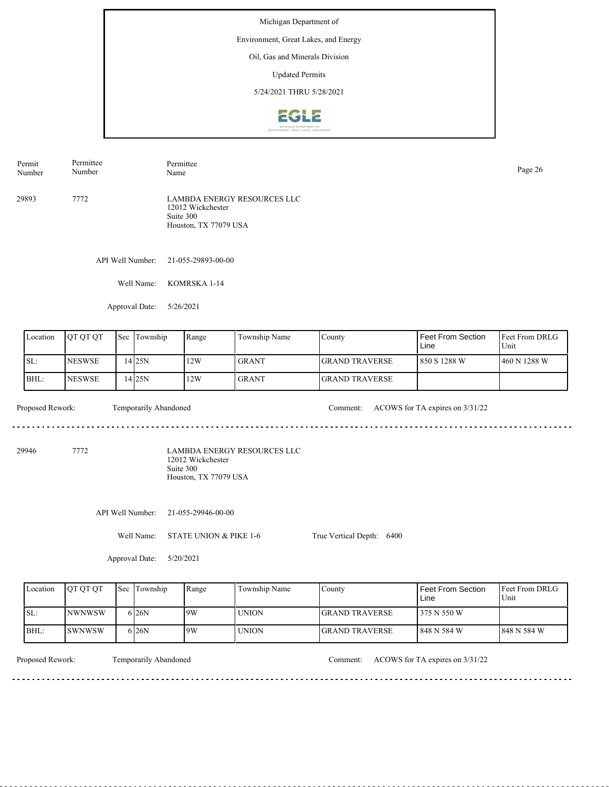Environment, Great Lakes, and Energy

#### Oil, Gas and Minerals Division

Updated Permits

5/24/2021 THRU 5/28/2021



API Well Number: 21-055-29893-00-00 29893 7772 LAMBDA ENERGY RESOURCES LLC 12012 Wickchester Suite 300 Houston, TX 77079 USA Permit Number Permittee Number Permittee Page 26<br>Name Page 26

Well Name: KOMRSKA 1-14

Approval Date: 5/26/2021

| Location | <b>OT OT OT</b> | 'Sec | Township | Range | Township Name | County                 | Feet From Section<br>Line | <b>Feet From DRLG</b><br>Unit |
|----------|-----------------|------|----------|-------|---------------|------------------------|---------------------------|-------------------------------|
| ISL:     | <b>INESWSE</b>  |      | 14 25 N  | 12W   | <b>GRANT</b>  | <b>IGRAND TRAVERSE</b> | l 850 S 1288 W            | 460 N 1288 W                  |
| IBHL:    | <b>INESWSE</b>  |      | 14 25 N  | 12W   | <b>GRANT</b>  | <b>IGRAND TRAVERSE</b> |                           |                               |

 $- - - - - -$ 

Proposed Rework: Temporarily Abandoned Comment: ACOWS for TA expires on  $3/31/22$ 

. . . . . . . . . . . . . . . . . . . .

29946 7772

LAMBDA ENERGY RESOURCES LLC 12012 Wickchester Suite 300 Houston, TX 77079 USA

API Well Number: 21-055-29946-00-00

Well Name: STATE UNION & PIKE 1-6

True Vertical Depth: 6400

Approval Date: 5/20/2021

| Location | <b>IOT OT OT</b> | <b>Sec</b> Township | Range | Township Name | County                 | <b>Feet From Section</b><br>Line | <b>Feet From DRLG</b><br>Unit |
|----------|------------------|---------------------|-------|---------------|------------------------|----------------------------------|-------------------------------|
| ISL:     | <b>INWNWSW</b>   | 6 <sub>26</sub> N   | 9W    | <b>UNION</b>  | <b>IGRAND TRAVERSE</b> | 375 N 550 W                      |                               |
| BHL:     | ISWNWSW          | 6 <sub>26</sub> N   | 9W    | <b>UNION</b>  | <b>GRAND TRAVERSE</b>  | 848 N 584 W                      | 848 N 584 W                   |

Temporarily Abandoned

Proposed Rework: Temporarily Abandoned Comment: ACOWS for TA expires on  $3/31/22$ 

<u>. . . . . . . .</u>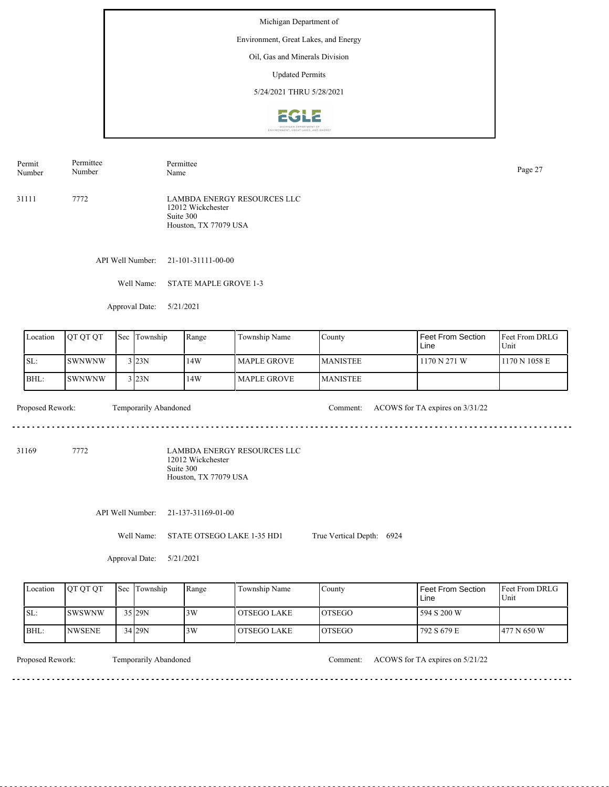Environment, Great Lakes, and Energy

### Oil, Gas and Minerals Division

Updated Permits

5/24/2021 THRU 5/28/2021



Permit Number Permittee Number Permittee Page 27<br>Name Page 27

31111 7772 LAMBDA ENERGY RESOURCES LLC 12012 Wickchester Suite 300 Houston, TX 77079 USA

API Well Number: 21-101-31111-00-00

Well Name: STATE MAPLE GROVE 1-3

Approval Date: 5/21/2021

| Location | <b>OT OT OT</b> | Sec | Township | Range | Township Name  | County           | Feet From Section<br>Line | <b>Feet From DRLG</b><br>Unit |
|----------|-----------------|-----|----------|-------|----------------|------------------|---------------------------|-------------------------------|
| ISL:     | <b>SWNWNW</b>   |     | 3 23N    | 14W   | l MAPLE GROVE- | <b>IMANISTEE</b> | 1170 N 271 W              | 1170 N 1058 E                 |
| BHL:     | <b>SWNWNW</b>   |     | $3$ 23N  | 14W   | l MAPLE GROVE- | <b>IMANISTEE</b> |                           |                               |

 $\frac{1}{2} \left( \frac{1}{2} \right) \left( \frac{1}{2} \right) \left( \frac{1}{2} \right) \left( \frac{1}{2} \right)$ 

Proposed Rework: Temporarily Abandoned Comment: ACOWS for TA expires on  $3/31/22$ 

31169 7772

LAMBDA ENERGY RESOURCES LLC 12012 Wickchester Suite 300 Houston, TX 77079 USA

API Well Number: 21-137-31169-01-00

Well Name: STATE OTSEGO LAKE 1-35 HD1

True Vertical Depth: 6924

Approval Date: 5/21/2021

| Location | <b>IOT OT OT</b> | <b>Sec Township</b> | Range | Township Name | County         | Feet From Section<br>Line | <b>Feet From DRLG</b><br>Unit |
|----------|------------------|---------------------|-------|---------------|----------------|---------------------------|-------------------------------|
| ISL:     | <b>ISWSWNW</b>   | $35$ <sub>29N</sub> | 3W    | l OTSEGO LAKE | <b>IOTSEGO</b> | 594 S 200 W               |                               |
| BHL:     | INWSENE          | 34 29N              | 3W    | l OTSEGO LAKE | <b>LOTSEGO</b> | 792 S 679 E               | 1477 N 650 W                  |

<u>. . . . . . . .</u>

Temporarily Abandoned

Proposed Rework: Temporarily Abandoned Comment: ACOWS for TA expires on 5/21/22

. . . . . . . . . . . . . . . . . . . .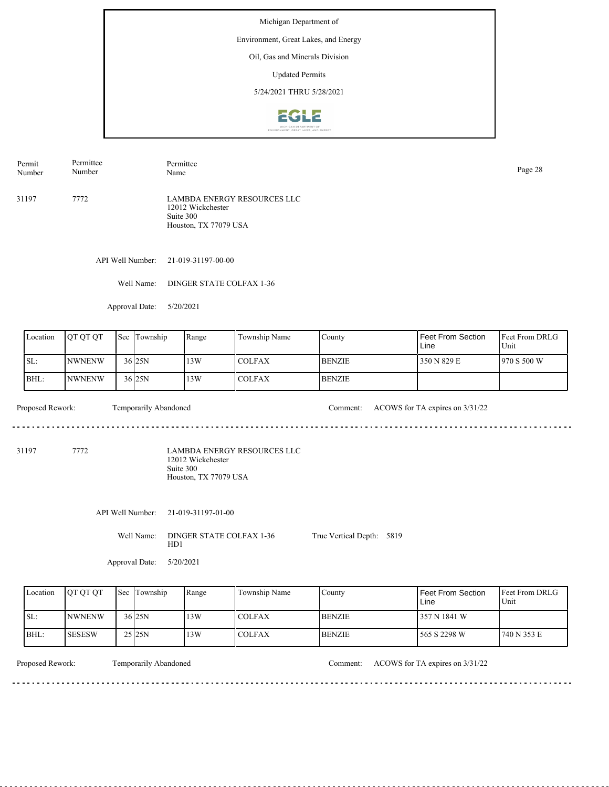Environment, Great Lakes, and Energy

# Oil, Gas and Minerals Division

Updated Permits

5/24/2021 THRU 5/28/2021



31197 7772 LAMBDA ENERGY RESOURCES LLC 12012 Wickchester Suite 300 Houston, TX 77079 USA Permit Number Permittee Number Permittee Page 28<br>Name Page 28

API Well Number: 21-019-31197-00-00

Well Name: DINGER STATE COLFAX 1-36

Approval Date: 5/20/2021

| Location | <b>QT QT QT</b>  |  | Sec Township          | Range | Township Name | County        | Feet From Section<br>Line       | <b>Feet From DRLG</b><br>Unit |
|----------|------------------|--|-----------------------|-------|---------------|---------------|---------------------------------|-------------------------------|
| SL:      | <b>NWNENW</b>    |  | $36$ <sub>25N</sub>   | 13W   | <b>COLFAX</b> | <b>BENZIE</b> | 350 N 829 E                     | 970 S 500 W                   |
| BHL:     | <b>NWNENW</b>    |  | $36$ <sub>25N</sub>   | 13W   | <b>COLFAX</b> | <b>BENZIE</b> |                                 |                               |
|          | Proposed Rework: |  | Temporarily Abandoned |       |               | Comment:      | ACOWS for TA expires on 3/31/22 |                               |

31197 7772

LAMBDA ENERGY RESOURCES LLC 12012 Wickchester Suite 300 Houston, TX 77079 USA

API Well Number: 21-019-31197-01-00

Well Name: DINGER STATE COLFAX 1-36 HD1

Approval Date: 5/20/2021

| Location | <b>IOTOTOT</b> | <b>Sec Township</b> | Range | Township Name | County         | Feet From Section<br>Line | <b>Feet From DRLG</b><br>Unit |
|----------|----------------|---------------------|-------|---------------|----------------|---------------------------|-------------------------------|
| SL:      | <b>NWNENW</b>  | 36 <sub>25N</sub>   | 13W   | <b>COLFAX</b> | <b>IBENZIE</b> | 357 N 1841 W              |                               |
| BHL      | ISESESW        | 25 25 N             | 13W   | <b>COLFAX</b> | <b>BENZIE</b>  | 565 S 2298 W              | 1740 N 353 E                  |

<u>. . . . . . . . . . . . . . . . .</u>

Temporarily Abandoned

Proposed Rework: Comment: ACOWS for TA expires on 3/31/22

True Vertical Depth: 5819

<u>. . . . . . . . .</u>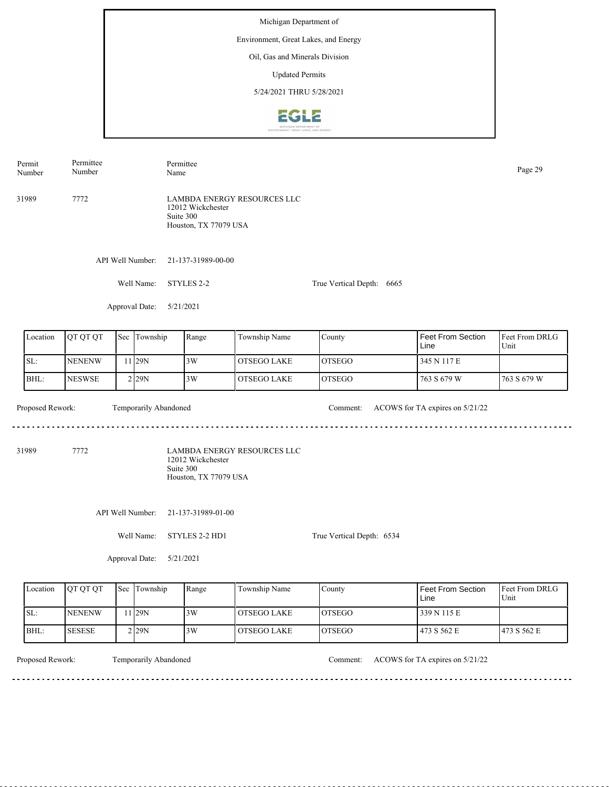Michigan Department of Environment, Great Lakes, and Energy Oil, Gas and Minerals Division Updated Permits 5/24/2021 THRU 5/28/2021**2612** 

Permit Permittee Permittee Number Page 29<br>Name Page 29 Number LAMBDA ENERGY RESOURCES LLC 31989 7772 12012 Wickchester Suite 300 Houston, TX 77079 USA API Well Number: 21-137-31989-00-00 Well Name: STYLES 2-2 True Vertical Depth: 6665 Approval Date: 5/21/2021 Feet From DRLG Feet From Section Location | QT QT QT | Sec | Township | Range | Township Name Sec Township County Line Unit SL: NENENW 3W OTSEGO LAKE OTSEGO 345 N 117 E 11 29N BHL: 29N 3W **NESWSE** OTSEGO LAKE OTSEGO 763 S 679 W 763 S 679 W 2 Proposed Rework: Temporarily Abandoned Comment: ACOWS for TA expires on 5/21/22 Temporarily Abandoned . . . . . . . . . . . . . . . . . . . . . . . . . . . . . . 31989 7772 LAMBDA ENERGY RESOURCES LLC 12012 Wickchester Suite 300 Houston, TX 77079 USA

API Well Number: 21-137-31989-01-00

Well Name: STYLES 2-2 HD1

True Vertical Depth: 6534

Approval Date: 5/21/2021

| Location | <b>IOT OT OT</b> | <b>Sec Township</b> | Range | Township Name | County         | Feet From Section<br>Line | <b>IFeet From DRLG</b><br>Unit |
|----------|------------------|---------------------|-------|---------------|----------------|---------------------------|--------------------------------|
| ISL:     | <b>INENENW</b>   | 1129N               | 3W    | l OTSEGO LAKE | <b>IOTSEGO</b> | 339 N 115 E               |                                |
| BHL:     | <b>ISESESE</b>   | 2 I29N              | 3W    | OTSEGO LAKE   | <b>IOTSEGO</b> | 473 S 562 E               | 1473 S 562 E                   |

Temporarily Abandoned

Proposed Rework: Temporarily Abandoned Comment: ACOWS for TA expires on 5/21/22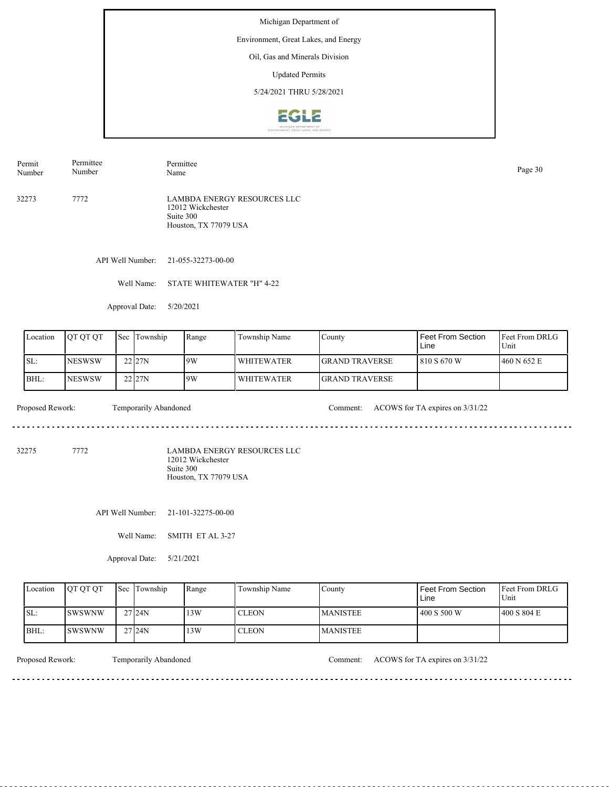Environment, Great Lakes, and Energy

#### Oil, Gas and Minerals Division

Updated Permits

5/24/2021 THRU 5/28/2021



32273 7772 LAMBDA ENERGY RESOURCES LLC 12012 Wickchester Suite 300 Houston, TX 77079 USA Permit Number Permittee Number Permittee Page 30<br>Name Page 30

API Well Number: 21-055-32273-00-00

Well Name: STATE WHITEWATER "H" 4-22

Approval Date: 5/20/2021

| Location | <b>IOT OT OT</b> | <b>Sec</b> | Township            | Range | Township Name | County                 | Feet From Section<br>Line | <b>IFeet From DRLG</b><br>Unit |
|----------|------------------|------------|---------------------|-------|---------------|------------------------|---------------------------|--------------------------------|
| ISL:     | <b>INESWSW</b>   |            | 22 27N              | 9W    | l WHITEWATER  | <b>IGRAND TRAVERSE</b> | 1810 S 670 W              | 460 N 652 E                    |
| BHL:     | <b>INESWSW</b>   |            | $22$ <sub>27N</sub> | 9W    | l WHITEWATER  | <b>IGRAND TRAVERSE</b> |                           |                                |

Proposed Rework: Temporarily Abandoned Comment: ACOWS for TA expires on  $3/31/22$ 

<u>. . . . . . . . . . . . . . . . . . .</u>

32275 7772

LAMBDA ENERGY RESOURCES LLC 12012 Wickchester Suite 300 Houston, TX 77079 USA

API Well Number: 21-101-32275-00-00

Well Name: SMITH ET AL 3-27

Approval Date: 5/21/2021

| Location | <b>IOT OT OT</b> | <b>Sec</b> Township | Range | Township Name | Countv          | l Feet From Section<br>Line | <b>Feet From DRLG</b><br>Unit |
|----------|------------------|---------------------|-------|---------------|-----------------|-----------------------------|-------------------------------|
| ISL:     | <b>ISWSWNW</b>   | 27124N              | 13W   | <b>CLEON</b>  | <b>MANISTEE</b> | 1400 S 500 W                | 400 S 804 E                   |
| IBHL:    | ISWSWNW          | 27124N              | 13W   | <b>CLEON</b>  | <b>MANISTEE</b> |                             |                               |

<u>. . . . . . . .</u>

Proposed Rework: Temporarily Abandoned Comment: ACOWS for TA expires on  $3/31/22$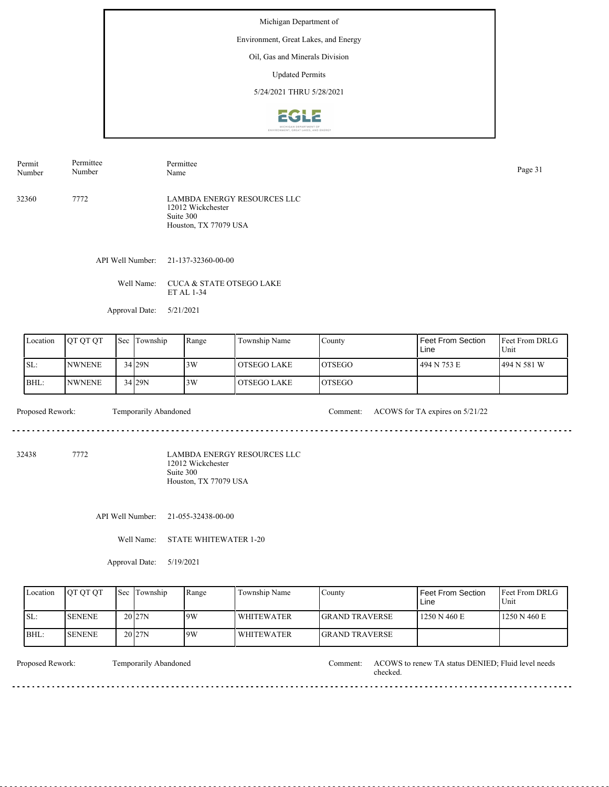Environment, Great Lakes, and Energy

## Oil, Gas and Minerals Division

Updated Permits

5/24/2021 THRU 5/28/2021



32360 7772 LAMBDA ENERGY RESOURCES LLC 12012 Wickchester Suite 300 Houston, TX 77079 USA Permit Number Permittee Number Permittee Page 31<br>Name Page 31

API Well Number: 21-137-32360-00-00

Well Name: CUCA & STATE OTSEGO LAKE ET AL 1-34

Approval Date: 5/21/2021

| Location | <b>OT OT OT</b> | <b>Sec</b> | Township            | Range | Township Name | County         | Feet From Section<br>Line | <b>Feet From DRLG</b><br>Unit |
|----------|-----------------|------------|---------------------|-------|---------------|----------------|---------------------------|-------------------------------|
| ISL:     | <b>INWNENE</b>  |            | $34$ <sub>29N</sub> | 3W    | l OTSEGO LAKE | IOTSEGO        | 494 N 753 E               | 494 N 581 W                   |
| BHL:     | <b>NWNENE</b>   |            | 34 29N              | 3W    | OTSEGO LAKE   | <b>IOTSEGO</b> |                           |                               |

Proposed Rework: Temporarily Abandoned Comment: ACOWS for TA expires on 5/21/22 

32438 7772

LAMBDA ENERGY RESOURCES LLC 12012 Wickchester Suite 300 Houston, TX 77079 USA

API Well Number: 21-055-32438-00-00

Well Name: STATE WHITEWATER 1-20

Approval Date: 5/19/2021

| Location | <b>IOT OT OT</b> | <b>Sec</b> Township | Range | Township Name     | County                 | <b>Feet From Section</b><br>Line | <b>IFeet From DRLG</b><br>Unit |
|----------|------------------|---------------------|-------|-------------------|------------------------|----------------------------------|--------------------------------|
| SL:      | <b>I</b> SENENE  | 20 <sub>27N</sub>   | 9W    | <b>WHITEWATER</b> | <b>IGRAND TRAVERSE</b> | 1250 N 460 E                     | 1250 N 460 E                   |
| BHL:     | <b>SENENE</b>    | 20 <sub>27N</sub>   | 9W    | <b>WHITEWATER</b> | <b>IGRAND TRAVERSE</b> |                                  |                                |

Temporarily Abandoned

Proposed Rework: Temporarily Abandoned Temporarily Abandoned Comment: ACOWS to renew TA status DENIED; Fluid level needs checked.

<u>. . . . . .</u>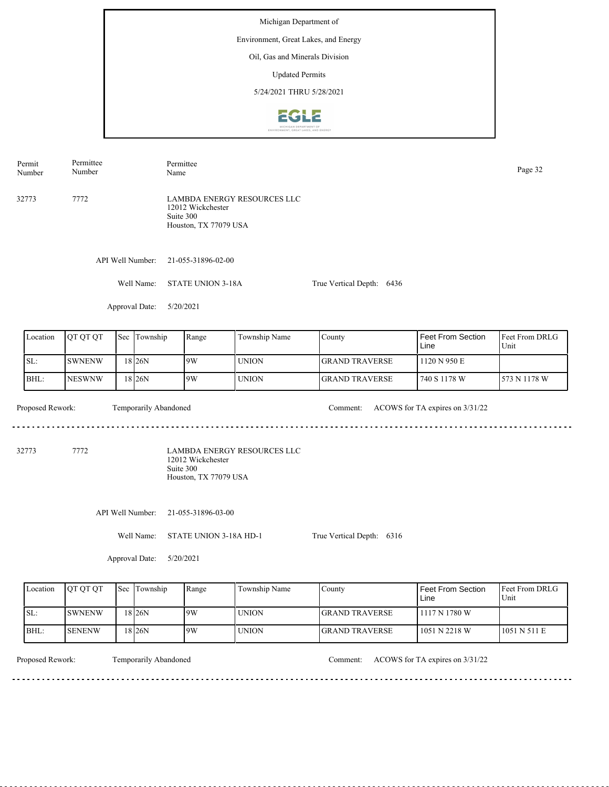Michigan Department of Environment, Great Lakes, and Energy Oil, Gas and Minerals Division Updated Permits 5/24/2021 THRU 5/28/2021**2612** 

Permit Permittee Permittee Number Page 32<br>Name Page 32 Number LAMBDA ENERGY RESOURCES LLC 32773 7772 12012 Wickchester Suite 300 Houston, TX 77079 USA API Well Number: 21-055-31896-02-00 Well Name: STATE UNION 3-18A True Vertical Depth: 6436 Approval Date: 5/20/2021 Feet From DRLG Feet From Section Location | QT QT QT | Sec | Township | Range | Township Name Sec Township County Line Unit SL: SWNENW 9W UNION GRAND TRAVERSE 1120 N 950 E 18 26N BHL: NESWNW UNION GRAND TRAVERSE 740 S 1178 W 573 N 1178 W 18 26N 9W Proposed Rework: Temporarily Abandoned Comment: ACOWS for TA expires on  $3/31/22$ Temporarily Abandoned . . . . . . . . . . . . . . . . . . . . . . . . . . . . . . 32773 7772 LAMBDA ENERGY RESOURCES LLC 12012 Wickchester Suite 300 Houston, TX 77079 USA API Well Number: 21-055-31896-03-00 Well Name: STATE UNION 3-18A HD-1 True Vertical Depth: 6316 Approval Date: 5/20/2021 Location QT QT QT Sec Township Range Township Name Sec Township County Feet From Section Feet From DRLG Line Unit

1051 N 511 E 1117 N 1780 W 1051 N 2218 W GRAND TRAVERSE GRAND TRAVERSE SL:  $BHL$ SWNENW SENENW 18 26N 18 26N 9W 9W UNION UNION

<u>. . . . . . . . .</u>

Temporarily Abandoned

Proposed Rework: Temporarily Abandoned Comment: ACOWS for TA expires on  $3/31/22$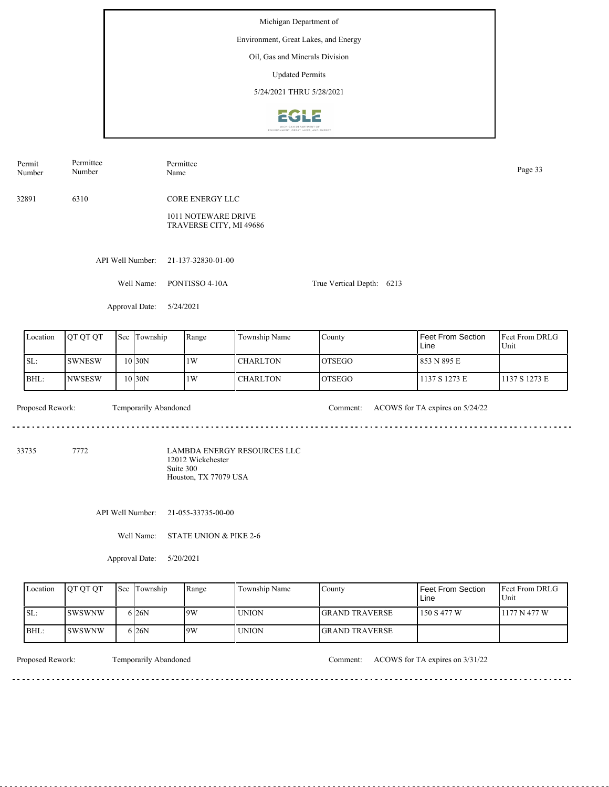Michigan Department of Environment, Great Lakes, and Energy Oil, Gas and Minerals Division Updated Permits 5/24/2021 THRU 5/28/2021**EGLE** 

| Permit<br>Number | Permittee<br>Number |     |                       | Permittee<br>Name                              |                                    |               |                                 | Page 33                |  |  |
|------------------|---------------------|-----|-----------------------|------------------------------------------------|------------------------------------|---------------|---------------------------------|------------------------|--|--|
| 32891            | 6310                |     |                       | <b>CORE ENERGY LLC</b>                         |                                    |               |                                 |                        |  |  |
|                  |                     |     |                       | 1011 NOTEWARE DRIVE<br>TRAVERSE CITY, MI 49686 |                                    |               |                                 |                        |  |  |
|                  |                     |     | API Well Number:      | 21-137-32830-01-00                             |                                    |               |                                 |                        |  |  |
|                  |                     |     | Well Name:            | PONTISSO 4-10A<br>True Vertical Depth: 6213    |                                    |               |                                 |                        |  |  |
|                  |                     |     | Approval Date:        | 5/24/2021                                      |                                    |               |                                 |                        |  |  |
| Location         | QT QT QT            | Sec | Township              | Range                                          | Township Name                      | County        | Feet From Section<br>Line       | Feet From DRLG<br>Unit |  |  |
| SL:              | <b>SWNESW</b>       |     | 10 30N                | 1W                                             | <b>CHARLTON</b>                    | <b>OTSEGO</b> | 853 N 895 E                     |                        |  |  |
| BHL:             | <b>NWSESW</b>       |     | 10 30N                | 1W                                             | <b>CHARLTON</b>                    | <b>OTSEGO</b> | 1137 S 1273 E                   | 1137 S 1273 E          |  |  |
| Proposed Rework: |                     |     | Temporarily Abandoned |                                                |                                    | Comment:      | ACOWS for TA expires on 5/24/22 |                        |  |  |
| 33735            | 7772                |     |                       | $10010 \text{ W}$ $111$                        | <b>LAMBDA ENERGY RESOURCES LLC</b> |               |                                 |                        |  |  |

12012 Wickchester Suite 300 Houston, TX 77079 USA

API Well Number: 21-055-33735-00-00

Well Name: STATE UNION & PIKE 2-6

Approval Date: 5/20/2021

| Location | <b>IOT OT OT</b> | <b>Sec</b> Township | Range | Township Name | Countv                 | <b>Feet From Section</b><br>Line | <b>Feet From DRLG</b><br>Unit |
|----------|------------------|---------------------|-------|---------------|------------------------|----------------------------------|-------------------------------|
| SL:      | ISWSWNW          | 6 <sub>26</sub> N   | 9W    | <b>UNION</b>  | <b>IGRAND TRAVERSE</b> | 150 S 477 W                      | 1177 N 477 W                  |
| BHL:     | ISWSWNW          | 6 <sub>26</sub> N   | 9W    | <b>UNION</b>  | <b>IGRAND TRAVERSE</b> |                                  |                               |

. . . . . . . . . . .

Proposed Rework: Temporarily Abandoned Comment: ACOWS for TA expires on  $3/31/22$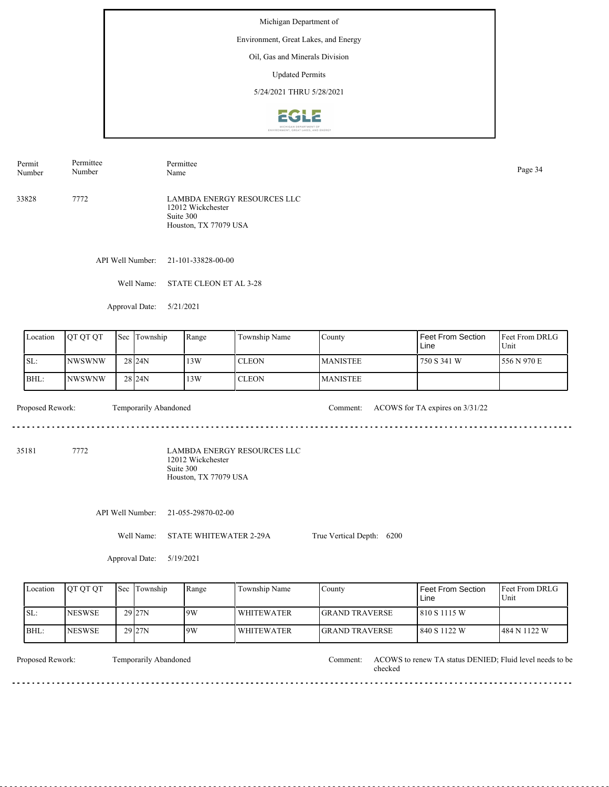Environment, Great Lakes, and Energy

#### Oil, Gas and Minerals Division

Updated Permits

5/24/2021 THRU 5/28/2021



33828 7772 LAMBDA ENERGY RESOURCES LLC 12012 Wickchester Permit Number Permittee Number Permittee Page 34<br>Name

Suite 300 Houston, TX 77079 USA

API Well Number: 21-101-33828-00-00

Well Name: STATE CLEON ET AL 3-28

Approval Date: 5/21/2021

| Location | <b>OT OT OT</b> | 'Sec | Township          | Range | Township Name | County           | Feet From Section<br>Line | <b>Feet From DRLG</b><br>Unit |
|----------|-----------------|------|-------------------|-------|---------------|------------------|---------------------------|-------------------------------|
| ISL:     | <b>INWSWNW</b>  |      | 28 <sub>24N</sub> | 13W   | <b>CLEON</b>  | <b>IMANISTEE</b> | 750 S 341 W               | 1556 N 970 E                  |
| BHL:     | INWSWNW         |      | 28 <sub>24N</sub> | 13W   | <b>CLEON</b>  | <b>MANISTEE</b>  |                           |                               |

Proposed Rework: Temporarily Abandoned Comment: ACOWS for TA expires on  $3/31/22$ diama diama

35181 7772

LAMBDA ENERGY RESOURCES LLC 12012 Wickchester Suite 300 Houston, TX 77079 USA

API Well Number: 21-055-29870-02-00

Well Name: STATE WHITEWATER 2-29A

True Vertical Depth: 6200

Approval Date: 5/19/2021

| Location | <b>IOT OT OT</b> | <b>Sec Township</b> | Range | Township Name     | County                 | Feet From Section<br>Line | <b>Feet From DRLG</b><br>Unit |
|----------|------------------|---------------------|-------|-------------------|------------------------|---------------------------|-------------------------------|
| ISL:     | <b>INESWSE</b>   | 29 <sub>27N</sub>   | 9W    | <b>WHITEWATER</b> | <b>IGRAND TRAVERSE</b> | 1810 S 1115 W             |                               |
| BHL:     | <b>INESWSE</b>   | 29 <sub>27N</sub>   | 9W    | <b>WHITEWATER</b> | <b>IGRAND TRAVERSE</b> | 1840 S 1122 W             | 484 N 1122 W                  |

<u>. . . . . . . . . . .</u>

Temporarily Abandoned

Proposed Rework: Temporarily Abandoned Comment: ACOWS to renew TA status DENIED; Fluid level needs to be checked Comment:

. . . . . . . .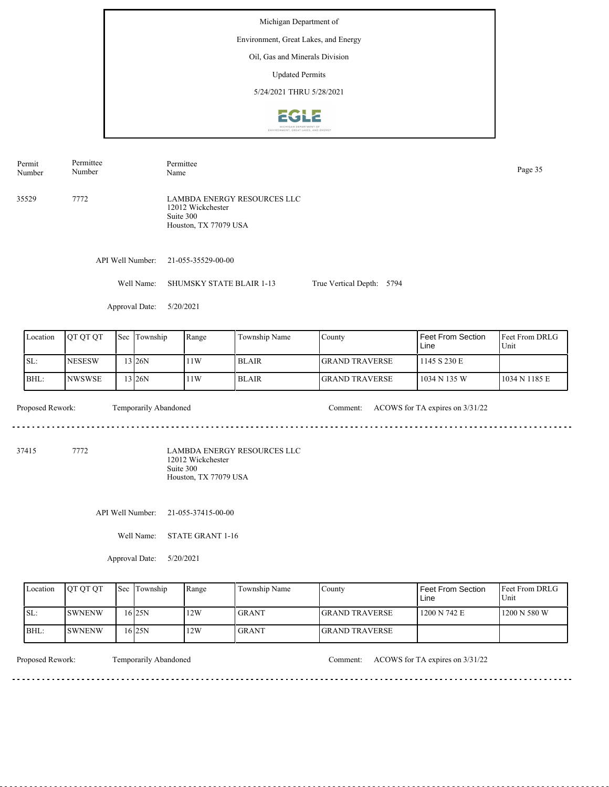Michigan Department of Environment, Great Lakes, and Energy Oil, Gas and Minerals Division Updated Permits 5/24/2021 THRU 5/28/2021**2612** 

API Well Number: 21-055-35529-00-00 Well Name: SHUMSKY STATE BLAIR 1-13 Approval Date: 5/20/2021 True Vertical Depth: 5794 35529 7772 LAMBDA ENERGY RESOURCES LLC 12012 Wickchester Suite 300 Houston, TX 77079 USA Permit Number Permittee Number Permittee Page 35<br>Name Page 35

Feet From DRLG Unit 1034 N 1185 E 1145 S 230 E 1034 N 135 W Feet From Section Line County GRAND TRAVERSE GRAND TRAVERSE Location | QT QT QT | Sec | Township | Range | Township Name SL: BHL: NESESW NWSWSE Sec Township 13 26N 13 26N  $11W$ 11W BLAIR BLAIR

Temporarily Abandoned Proposed Rework: Temporarily Abandoned Comment: ACOWS for TA expires on  $3/31/22$ <u>. . . . . . .</u> . . . . . . . . . . . . . . . . . . . . 37415 7772 LAMBDA ENERGY RESOURCES LLC 12012 Wickchester Suite 300 Houston, TX 77079 USA

API Well Number: 21-055-37415-00-00

Well Name: STATE GRANT 1-16

Approval Date: 5/20/2021

| Location | <b>OT OT OT</b> | <b>Sec Township</b> | Range | Township Name | Countv                 | Feet From Section<br>Line | <b>IFeet From DRLG</b><br>Unit |
|----------|-----------------|---------------------|-------|---------------|------------------------|---------------------------|--------------------------------|
| ISL:     | <b>SWNENW</b>   | 16 25 N             | 12W   | <b>GRANT</b>  | <b>IGRAND TRAVERSE</b> | 1200 N 742 E              | 1200 N 580 W                   |
| BHL:     | <b>SWNENW</b>   | 16 25 N             | 12W   | <b>GRANT</b>  | <b>IGRAND TRAVERSE</b> |                           |                                |

Proposed Rework: Temporarily Abandoned Comment: ACOWS for TA expires on  $3/31/22$ 

<u>. . . . . . . . .</u>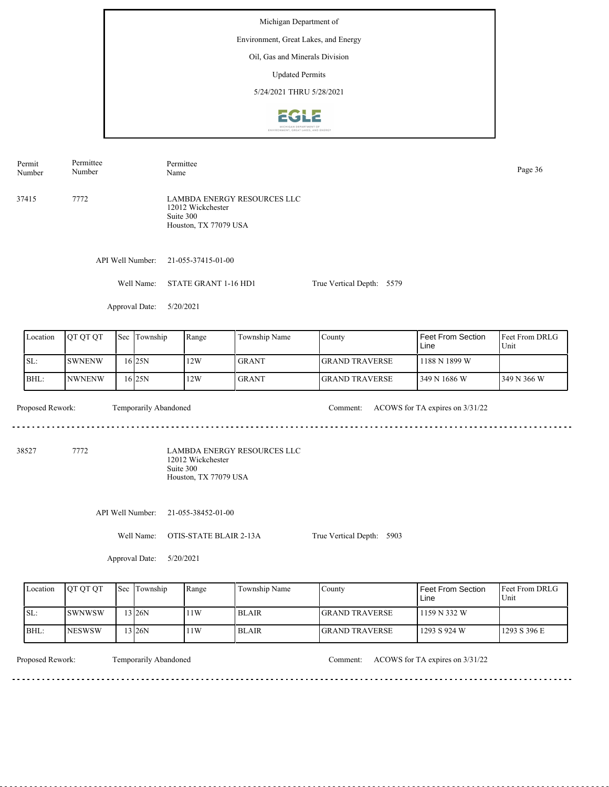Michigan Department of Environment, Great Lakes, and Energy Oil, Gas and Minerals Division Updated Permits 5/24/2021 THRU 5/28/2021**EGLZ** 

API Well Number: 21-055-37415-01-00 Well Name: STATE GRANT 1-16 HD1 Approval Date: 5/20/2021 True Vertical Depth: 5579 37415 7772 LAMBDA ENERGY RESOURCES LLC 12012 Wickchester Suite 300 Houston, TX 77079 USA Permit Number Permittee Number Permittee Page 36<br>Name Page 36

| Location | <b>IOT OT OT</b> | Sec | Township          | Range | Township Name | County                 | l Feet From Section<br>Line | <b>Feet From DRLG</b><br>Unit |
|----------|------------------|-----|-------------------|-------|---------------|------------------------|-----------------------------|-------------------------------|
| SL:      | ISWNENW          |     | 16 <sub>25N</sub> | 12W   | <b>GRANT</b>  | <b>IGRAND TRAVERSE</b> | 1188 N 1899 W               |                               |
| BHL:     | INWNENW          |     | 16 <sub>25N</sub> | 12W   | <b>GRANT</b>  | <b>IGRAND TRAVERSE</b> | l 349 N 1686 W              | 349 N 366 W                   |

Temporarily Abandoned

 $- - - - - -$ 

Proposed Rework: Temporarily Abandoned Comment: ACOWS for TA expires on  $3/31/22$ 

38527 7772

LAMBDA ENERGY RESOURCES LLC 12012 Wickchester Suite 300 Houston, TX 77079 USA

API Well Number: 21-055-38452-01-00

Well Name: OTIS-STATE BLAIR 2-13A

True Vertical Depth: 5903

Approval Date: 5/20/2021

|      | Location | <b>IOT OT OT</b> | <b>Sec</b> Township | Range | Township Name | County                 | Feet From Section<br>Line | <b>IFeet From DRLG</b><br>Unit |
|------|----------|------------------|---------------------|-------|---------------|------------------------|---------------------------|--------------------------------|
| ISL: |          | <b>ISWNWSW</b>   | $3$ <sub>26</sub> N | 1W    | <b>BLAIR</b>  | <b>IGRAND TRAVERSE</b> | 1159 N 332 W              |                                |
|      | BHL:     | <b>INESWSW</b>   | 3 I26N              | 1W    | <b>BLAIR</b>  | <b>IGRAND TRAVERSE</b> | 1293 S 924 W              | 1293 S 396 E                   |

Temporarily Abandoned

Proposed Rework: Temporarily Abandoned Comment: ACOWS for TA expires on  $3/31/22$ 

<u>. . . . . . . .</u>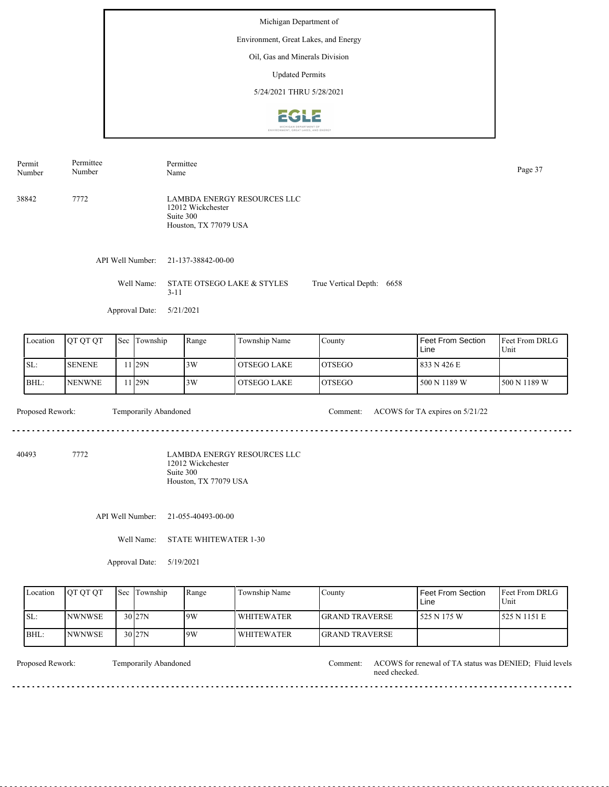Michigan Department of Environment, Great Lakes, and Energy Oil, Gas and Minerals Division Updated Permits 5/24/2021 THRU 5/28/2021**EGLE** 

API Well Number: 21-137-38842-00-00 Well Name: STATE OTSEGO LAKE & STYLES 3-11 Approval Date: 5/21/2021 True Vertical Depth: 6658 38842 7772 LAMBDA ENERGY RESOURCES LLC 12012 Wickchester Suite 300 Houston, TX 77079 USA Permit Number Permittee Number Permittee Page 37<br>Name Page 37

| Location | IOT OT OT      | <b>Sec Township</b> | Range | Township Name  | County         | Feet From Section<br>Line | Feet From DRLG<br>Unit |
|----------|----------------|---------------------|-------|----------------|----------------|---------------------------|------------------------|
| SL:      | <b>ISENENE</b> | 1 <sub>29</sub> N   | 3W    | l OTSEGO LAKE  | <b>IOTSEGO</b> | 833 N 426 E               |                        |
| BHL:     | <b>INENWNE</b> | 1 29N               | 3W    | l OTSEGO LAKE- | <b>IOTSEGO</b> | 500 N 1189 W              | 1500 N 1189 W          |

Proposed Rework: Temporarily Abandoned Comment: ACOWS for TA expires on 5/21/22 Temporarily Abandoned 

40493 7772

LAMBDA ENERGY RESOURCES LLC 12012 Wickchester Suite 300 Houston, TX 77079 USA

API Well Number: 21-055-40493-00-00

Well Name: STATE WHITEWATER 1-30

Approval Date: 5/19/2021

| Location | <b>IOT OT OT</b> | <b>Sec Township</b> | Range | Township Name     | Countv                 | <b>Feet From Section</b><br>Line | <b>Feet From DRLG</b><br>Unit |
|----------|------------------|---------------------|-------|-------------------|------------------------|----------------------------------|-------------------------------|
| ISL:     | <b>INWNWSE</b>   | $30\,$  27N         | 19W   | <b>WHITEWATER</b> | <b>IGRAND TRAVERSE</b> | l 525 N 175 W                    | 525 N 1151 E                  |
| BHL:     | <b>INWNWSE</b>   | $30$ <sub>27N</sub> | 9W    | WHITEWATER        | <b>IGRAND TRAVERSE</b> |                                  |                               |

Temporarily Abandoned

Proposed Rework: Temporarily Abandoned Comment: ACOWS for renewal of TA status was DENIED; Fluid levels need checked.

<u>. . . . . . . . . . . .</u>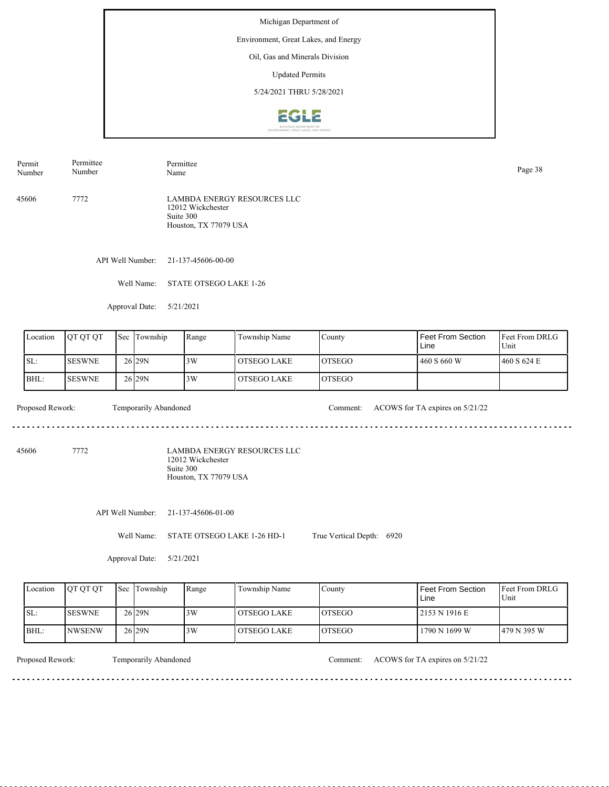Environment, Great Lakes, and Energy

#### Oil, Gas and Minerals Division

Updated Permits

5/24/2021 THRU 5/28/2021



45606 7772 LAMBDA ENERGY RESOURCES LLC Permit Number Permittee Number Permittee Page 38<br>Name Page 38

12012 Wickchester Suite 300 Houston, TX 77079 USA

API Well Number: 21-137-45606-00-00

Well Name: STATE OTSEGO LAKE 1-26

Approval Date: 5/21/2021

| Location | IOT OT OT      | 'Sec | Township          | Range | Township Name  | County         | Feet From Section<br>Line | <b>Feet From DRLG</b><br>Unit |
|----------|----------------|------|-------------------|-------|----------------|----------------|---------------------------|-------------------------------|
| ISL:     | <b>ISESWNE</b> |      | 26 <sub>29N</sub> | 3W    | l OTSEGO LAKE  | <b>LOTSEGO</b> | 460 S 660 W               | 1460 S 624 E                  |
| BHL:     | <b>ISESWNE</b> |      | 26 <sub>29N</sub> | 3W    | l OTSEGO LAKE- | <b>LOTSEGO</b> |                           |                               |

 $- - - - - -$ 

Proposed Rework: Temporarily Abandoned Comment: ACOWS for TA expires on 5/21/22

. . . . . . . . . . . . . . . . . . . .

45606 7772

LAMBDA ENERGY RESOURCES LLC 12012 Wickchester Suite 300 Houston, TX 77079 USA

API Well Number: 21-137-45606-01-00

Well Name: STATE OTSEGO LAKE 1-26 HD-1 True Vertical Depth: 6920

Approval Date: 5/21/2021

| Location | <b>OT OT OT</b> | <b>Sec Township</b> | Range | Township Name      | County         | l Feet From Section.<br>Line | <b>Feet From DRLG</b><br>Unit |
|----------|-----------------|---------------------|-------|--------------------|----------------|------------------------------|-------------------------------|
| ISL:     | <b>ISESWNE</b>  | 26 <sub>29N</sub>   | 3W    | l OTSEGO LAKE      | <b>IOTSEGO</b> | 2153 N 1916 E                |                               |
| BHL:     | <b>INWSENW</b>  | 26 <sub>29N</sub>   | 3W    | <b>OTSEGO LAKE</b> | <b>IOTSEGO</b> | 1790 N 1699 W                | 1479 N 395 W                  |

<u>. . . . . . . .</u>

Temporarily Abandoned

Proposed Rework: Temporarily Abandoned Comment: ACOWS for TA expires on 5/21/22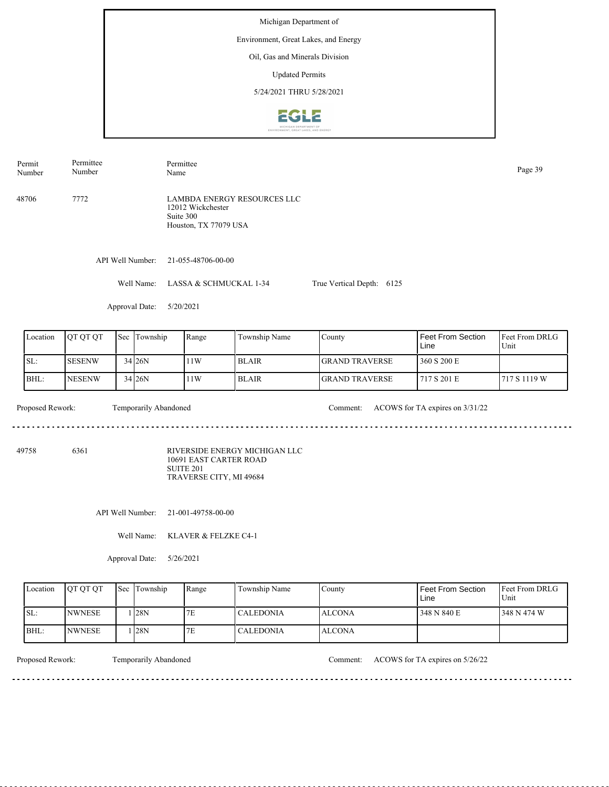Environment, Great Lakes, and Energy

### Oil, Gas and Minerals Division

Updated Permits

5/24/2021 THRU 5/28/2021



Permit Number Permittee Number Permittee Page 39<br>Name Page 39

48706 7772 LAMBDA ENERGY RESOURCES LLC 12012 Wickchester Suite 300 Houston, TX 77079 USA

API Well Number: 21-055-48706-00-00

Well Name: LASSA & SCHMUCKAL 1-34 True Vertical Depth: 6125

Approval Date: 5/20/2021

| Location | IOT OT OT     | Sec | Township   | Range | Township Name | County                 | <b>Feet From Section</b><br>Line | <b>Feet From DRLG</b><br>Unit |
|----------|---------------|-----|------------|-------|---------------|------------------------|----------------------------------|-------------------------------|
| SL:      | <b>SESENW</b> |     | $34$ $26N$ | 11W   | <b>BLAIR</b>  | <b>IGRAND TRAVERSE</b> | 360 S 200 E                      |                               |
| BHL:     | <b>NESENW</b> |     | 34 26N     | 11W   | l BLAIR       | <b>IGRAND TRAVERSE</b> | 1717 S 201 E                     | 717 S 1119 W                  |

<u>. . . . . . . . . . . . . . . . . .</u>

Temporarily Abandoned

Proposed Rework: Temporarily Abandoned Comment: ACOWS for TA expires on  $3/31/22$ 

<u>. . . . . . . . . . . . . . . . .</u>

49758 6361

RIVERSIDE ENERGY MICHIGAN LLC 10691 EAST CARTER ROAD SUITE 201 TRAVERSE CITY, MI 49684

API Well Number: 21-001-49758-00-00

Well Name: KLAVER & FELZKE C4-1

Approval Date: 5/26/2021

| Location | <b>OT OT OT</b> | <b>Sec</b> Township | Range | Township Name | County         | Feet From Section<br>Line | <b>Feet From DRLG</b><br>Unit |
|----------|-----------------|---------------------|-------|---------------|----------------|---------------------------|-------------------------------|
| ISL:     | <b>INWNESE</b>  | 128N                | 7E    | l CALEDONIA.  | <b>LALCONA</b> | 348 N 840 E               | 1348 N 474 W                  |
| BHL:     | <b>INWNESE</b>  | 128N                | 7E    | CALEDONIA     | <b>ALCONA</b>  |                           |                               |

Proposed Rework: Temporarily Abandoned Comment: ACOWS for TA expires on 5/26/22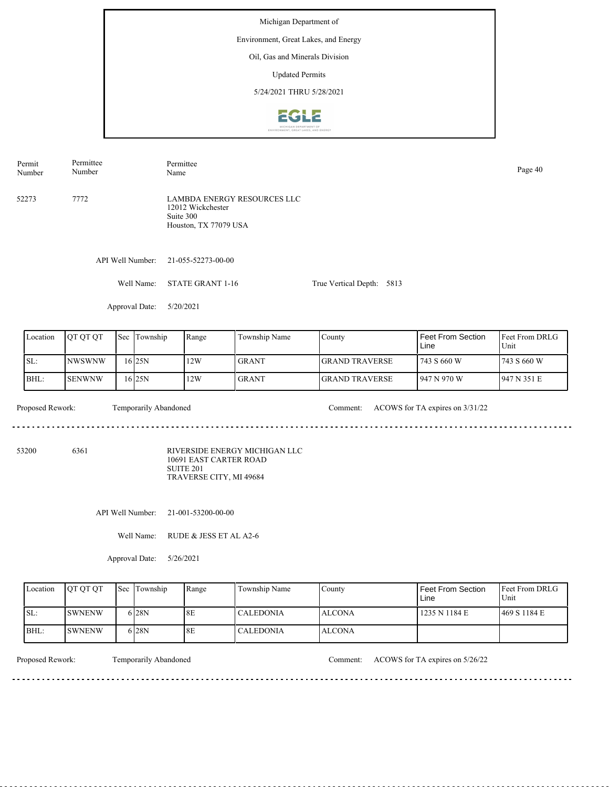Michigan Department of Environment, Great Lakes, and Energy

> Oil, Gas and Minerals Division Updated Permits

5/24/2021 THRU 5/28/2021



52273 7772 LAMBDA ENERGY RESOURCES LLC Permit Number Permittee Number Permittee Page 40<br>Name Page 40

12012 Wickchester Suite 300 Houston, TX 77079 USA

API Well Number: 21-055-52273-00-00

Well Name: STATE GRANT 1-16 True Vertical Depth: 5813

Approval Date: 5/20/2021

| Location | <b>OT OT OT</b> | 'Sec | Township | Range | Township Name | County                 | <b>Feet From Section</b><br>Line | <b>IFeet From DRLG</b><br>Unit |
|----------|-----------------|------|----------|-------|---------------|------------------------|----------------------------------|--------------------------------|
| ISL:     | INWSWNW         |      | 16 25 N  | 12W   | <b>GRANT</b>  | <b>IGRAND TRAVERSE</b> | 1743S660W                        | 1743 S 660 W                   |
| BHL:     | <b>SENWNW</b>   |      | 16 25 N  | 12W   | <b>GRANT</b>  | <b>IGRAND TRAVERSE</b> | l 947 N 970 W                    | 1947 N 351 E                   |

Temporarily Abandoned

Proposed Rework: Temporarily Abandoned Comment: ACOWS for TA expires on  $3/31/22$ 

. . . . . . . . . . . . . . . . . .

53200 6361

RIVERSIDE ENERGY MICHIGAN LLC 10691 EAST CARTER ROAD SUITE 201 TRAVERSE CITY, MI 49684

API Well Number: 21-001-53200-00-00

Well Name: RUDE & JESS ET AL A2-6

Approval Date: 5/26/2021

| Location | <b>OT OT OT</b> | <b>Sec Township</b> | Range | Township Name | County         | Feet From Section<br>∟ine | <b>Feet From DRLG</b><br>Unit |
|----------|-----------------|---------------------|-------|---------------|----------------|---------------------------|-------------------------------|
| ISL:     | <b>ISWNENW</b>  | 6 28N               | 8E    | l CALEDONIA   | <b>ALCONA</b>  | 1235 N 1184 E             | 1469 S 1184 E                 |
| BHL:     | <b>ISWNENW</b>  | 6 28N               | 8E    | l CALEDONIA   | <b>LALCONA</b> |                           |                               |

Proposed Rework: Temporarily Abandoned Comment: ACOWS for TA expires on 5/26/22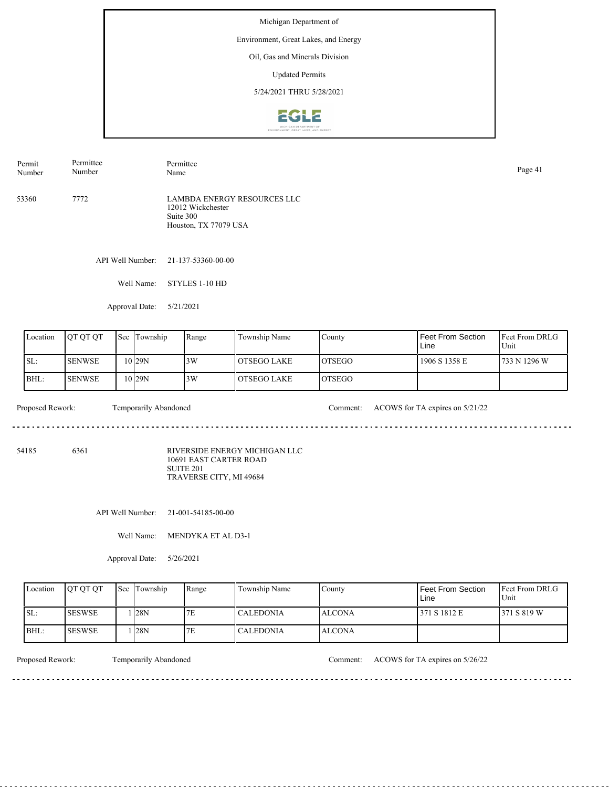Environment, Great Lakes, and Energy

## Oil, Gas and Minerals Division

Updated Permits

5/24/2021 THRU 5/28/2021



53360 7772 LAMBDA ENERGY RESOURCES LLC 12012 Wickchester Suite 300 Houston, TX 77079 USA Permit Number Permittee Number Permittee Page 41<br>Name Page 41

API Well Number: 21-137-53360-00-00

Well Name: STYLES 1-10 HD

Approval Date: 5/21/2021

| Location | <b>OT OT OT</b> | 'Sec | Township          | Range | Township Name | County         | Feet From Section<br>Line | <b>IFeet From DRLG</b><br>Unit |
|----------|-----------------|------|-------------------|-------|---------------|----------------|---------------------------|--------------------------------|
| SL:      | <b>SENWSE</b>   |      | 10 <sub>29N</sub> | 3W    | l OTSEGO LAKE | <b>IOTSEGO</b> | 1906 S 1358 E             | 733 N 1296 W                   |
| BHL:     | <b>SENWSE</b>   |      | 10 29N            | 3W    | l OTSEGO LAKE | <b>IOTSEGO</b> |                           |                                |

Proposed Rework: Temporarily Abandoned Comment: ACOWS for TA expires on 5/21/22

54185 6361

RIVERSIDE ENERGY MICHIGAN LLC 10691 EAST CARTER ROAD SUITE 201 TRAVERSE CITY, MI 49684

د د د د د د د د د د

API Well Number: 21-001-54185-00-00

Well Name: MENDYKA ET AL D3-1

Approval Date: 5/26/2021

| Location | <b>OT OT OT</b> | <b>Sec Township</b> | Range | Township Name | County         | Feet From Section<br>Line | <b>IFeet From DRLG</b><br>Unit |
|----------|-----------------|---------------------|-------|---------------|----------------|---------------------------|--------------------------------|
| ISL:     | <b>SESWSE</b>   | 128N                | 7E    | l CALEDONIA   | <b>LALCONA</b> | 371 S 1812 E              | 371 S 819 W                    |
| BHL:     | <b>ISESWSE</b>  | 128N                | 7E    | l CALEDONIA   | <b>ALCONA</b>  |                           |                                |

<u>. . . . . . . .</u>

Proposed Rework: Temporarily Abandoned Comment: ACOWS for TA expires on 5/26/22

. . . . . . . . . . . . . . . . . . .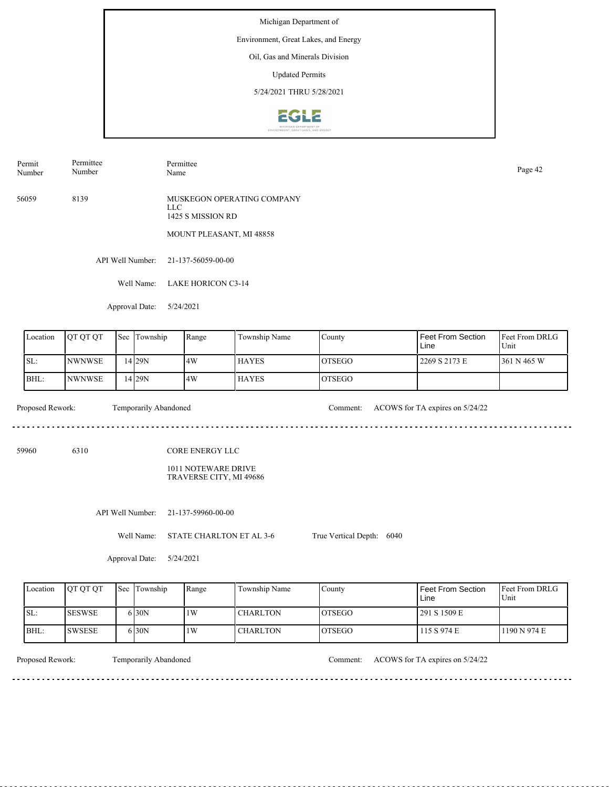Environment, Great Lakes, and Energy

### Oil, Gas and Minerals Division

Updated Permits

5/24/2021 THRU 5/28/2021



Permit Number Permittee Number Permittee Page 42<br>Name Page 42

56059 8139 MUSKEGON OPERATING COMPANY LLC 1425 S MISSION RD

MOUNT PLEASANT, MI 48858

API Well Number: 21-137-56059-00-00

Well Name: LAKE HORICON C3-14

Approval Date: 5/24/2021

| Location | <b>OT OT OT</b> | <b>Sec</b> | Township          | Range | Township Name | County         | <b>Feet From Section</b><br>Line | <b>Feet From DRLG</b><br>Unit |
|----------|-----------------|------------|-------------------|-------|---------------|----------------|----------------------------------|-------------------------------|
| ISL:     | <b>NWNWSE</b>   |            | 14 <sub>29N</sub> | 14W   | <b>HAYES</b>  | <b>LOTSEGO</b> | 2269 S 2173 E                    | 361 N 465 W                   |
| BHL:     | <b>NWNWSE</b>   |            | 14 <sub>29N</sub> | 14W   | <b>HAYES</b>  | <b>IOTSEGO</b> |                                  |                               |

59960 6310

 $- - - - - -$ 

Proposed Rework: Temporarily Abandoned Comment: ACOWS for TA expires on 5/24/22

CORE ENERGY LLC

1011 NOTEWARE DRIVE TRAVERSE CITY, MI 49686

API Well Number: 21-137-59960-00-00

Well Name: STATE CHARLTON ET AL 3-6

True Vertical Depth: 6040

Approval Date: 5/24/2021

| Location | <b>OT OT OT</b> | <b>Sec Township</b> | Range | Township Name   | County  | Feet From Section<br>Line | <b>IFeet From DRLG</b><br>Unit |
|----------|-----------------|---------------------|-------|-----------------|---------|---------------------------|--------------------------------|
| ISL:     | <b>SESWSE</b>   | 5 30N               | 1W    | <b>CHARLTON</b> | IOTSEGO | 291 S 1509 E              |                                |
| BHL:     | <b>ISWSESE</b>  | 5 30N               | 1W    | <b>CHARLTON</b> | IOTSEGO | 115 S 974 E               | 1190 N 974 E                   |

<u>. . . . . . . .</u>

Temporarily Abandoned

Proposed Rework: Temporarily Abandoned Comment: ACOWS for TA expires on 5/24/22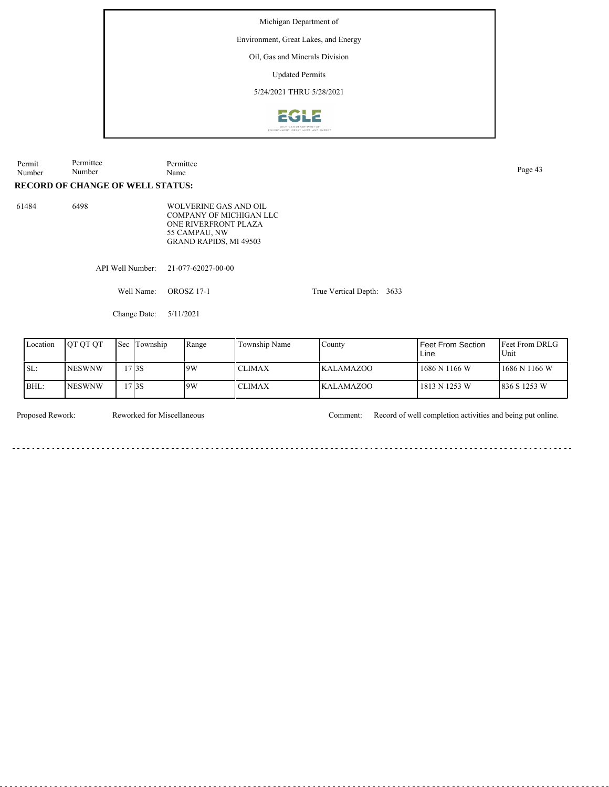Environment, Great Lakes, and Energy

# Oil, Gas and Minerals Division

Updated Permits

5/24/2021 THRU 5/28/2021



| Permit<br>Number | Permittee<br>Number                     |     |                  | Permittee<br>Name                                                                                      |                         |                      |      |                                      | Page 43                  |
|------------------|-----------------------------------------|-----|------------------|--------------------------------------------------------------------------------------------------------|-------------------------|----------------------|------|--------------------------------------|--------------------------|
|                  | <b>RECORD OF CHANGE OF WELL STATUS:</b> |     |                  |                                                                                                        |                         |                      |      |                                      |                          |
| 61484            | 6498                                    |     |                  | <b>WOLVERINE GAS AND OIL</b><br>ONE RIVERFRONT PLAZA<br>55 CAMPAU, NW<br><b>GRAND RAPIDS, MI 49503</b> | COMPANY OF MICHIGAN LLC |                      |      |                                      |                          |
|                  |                                         |     | API Well Number: | 21-077-62027-00-00                                                                                     |                         |                      |      |                                      |                          |
|                  |                                         |     | Well Name:       | <b>OROSZ 17-1</b>                                                                                      |                         | True Vertical Depth: | 3633 |                                      |                          |
|                  |                                         |     | Change Date:     | 5/11/2021                                                                                              |                         |                      |      |                                      |                          |
| Location         | OT QT QT                                | Sec | Township         | Range                                                                                                  | Township Name           | County               |      | <b>Feet From Section</b><br>$line -$ | Feet From D<br>$TL = 14$ |

| Location | <b>IOT OT OT</b> | Sec Township | Range | Township Name | County     | l Feet From Section.<br>Line | <b>IFeet From DRLG</b><br>Unit |
|----------|------------------|--------------|-------|---------------|------------|------------------------------|--------------------------------|
| SL:      | <b>INESWNW</b>   | 17 3 S       | 19W   | <b>CLIMAX</b> | IKALAMAZOO | 1686 N 1166 W                | 1686 N 1166 W                  |
| BHL:     | <b>INESWNW</b>   | 17 3 S       | 19W   | <b>CLIMAX</b> | IKALAMAZOO | 1813 N 1253 W                | 836 S 1253 W                   |

Reworked for Miscellaneous

Proposed Rework: Reworked for Miscellaneous Comment: Record of well completion activities and being put online.

 $\sim$   $\sim$  $-$   $- - - - - -$